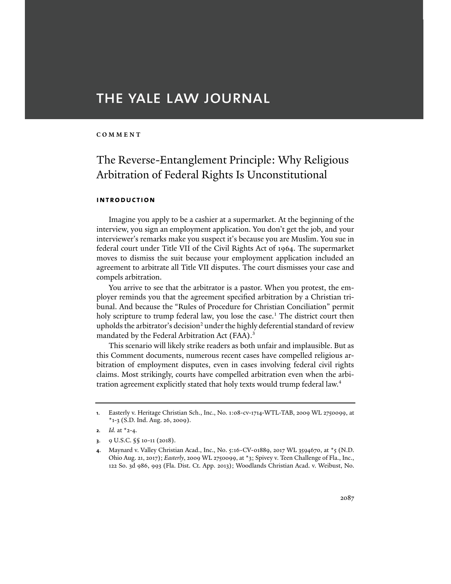# THE YALE LAW JOURNAL

## **COMMENT**

# The Reverse-Entanglement Principle: Why Religious Arbitration of Federal Rights Is Unconstitutional

## **introduction**

Imagine you apply to be a cashier at a supermarket. At the beginning of the interview, you sign an employment application. You don't get the job, and your interviewer's remarks make you suspect it's because you are Muslim. You sue in federal court under Title VII of the Civil Rights Act of 1964. The supermarket moves to dismiss the suit because your employment application included an agreement to arbitrate all Title VII disputes. The court dismisses your case and compels arbitration.

You arrive to see that the arbitrator is a pastor. When you protest, the employer reminds you that the agreement specified arbitration by a Christian tribunal. And because the "Rules of Procedure for Christian Conciliation" permit holy scripture to trump federal law, you lose the case.<sup>1</sup> The district court then upholds the arbitrator's decision<sup>2</sup> under the highly deferential standard of review mandated by the Federal Arbitration Act (FAA).<sup>3</sup>

This scenario will likely strike readers as both unfair and implausible. But as this Comment documents, numerous recent cases have compelled religious arbitration of employment disputes, even in cases involving federal civil rights claims. Most strikingly, courts have compelled arbitration even when the arbitration agreement explicitly stated that holy texts would trump federal law.<sup>4</sup>

**<sup>1</sup>**. Easterly v. Heritage Christian Sch., Inc., No. 1:08-cv-1714-WTL-TAB, 2009 WL 2750099, at \*1-3 (S.D. Ind. Aug. 26, 2009).

**<sup>2.</sup>** *Id.* at  $x^2 - 4$ .

**<sup>3</sup>**. 9 U.S.C. §§ 10-11 (2018).

**<sup>4</sup>**. Maynard v. Valley Christian Acad., Inc., No. 5:16-CV-01889, 2017 WL 3594670, at \*5 (N.D. Ohio Aug. 21, 2017); *Easterly*, 2009 WL 2750099, at \*3; Spivey v. Teen Challenge of Fla., Inc., 122 So. 3d 986, 993 (Fla. Dist. Ct. App. 2013); Woodlands Christian Acad. v. Weibust, No.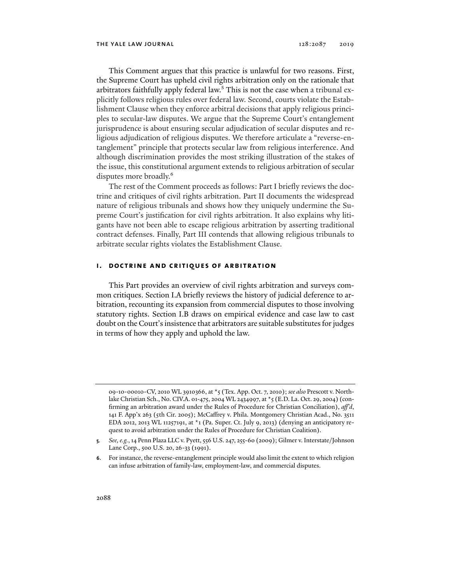This Comment argues that this practice is unlawful for two reasons. First, the Supreme Court has upheld civil rights arbitration only on the rationale that arbitrators faithfully apply federal law.<sup>5</sup> This is not the case when a tribunal explicitly follows religious rules over federal law. Second, courts violate the Establishment Clause when they enforce arbitral decisions that apply religious principles to secular-law disputes. We argue that the Supreme Court's entanglement jurisprudence is about ensuring secular adjudication of secular disputes and religious adjudication of religious disputes. We therefore articulate a "reverse-entanglement" principle that protects secular law from religious interference. And although discrimination provides the most striking illustration of the stakes of the issue, this constitutional argument extends to religious arbitration of secular disputes more broadly.<sup>6</sup>

The rest of the Comment proceeds as follows: Part I briefly reviews the doctrine and critiques of civil rights arbitration. Part II documents the widespread nature of religious tribunals and shows how they uniquely undermine the Supreme Court's justification for civil rights arbitration. It also explains why litigants have not been able to escape religious arbitration by asserting traditional contract defenses. Finally, Part III contends that allowing religious tribunals to arbitrate secular rights violates the Establishment Clause.

### **i. doctrine and critiques of arbitration**

This Part provides an overview of civil rights arbitration and surveys common critiques. Section I.A briefly reviews the history of judicial deference to arbitration, recounting its expansion from commercial disputes to those involving statutory rights. Section I.B draws on empirical evidence and case law to cast doubt on the Court's insistence that arbitrators are suitable substitutes for judges in terms of how they apply and uphold the law.

<sup>09-10-00010-</sup>CV, 2010 WL 3910366, at \*5 (Tex. App. Oct. 7, 2010); *see also* Prescott v. Northlake Christian Sch., No. CIV.A. 01-475, 2004 WL 2434997, at \*5 (E.D. La. Oct. 29, 2004) (confirming an arbitration award under the Rules of Procedure for Christian Conciliation), *aff'd*, 141 F. App'x 263 (5th Cir. 2005); McCaffrey v. Phila. Montgomery Christian Acad., No. 3511 EDA 2012, 2013 WL 11257191, at  $*$ 1 (Pa. Super. Ct. July 9, 2013) (denying an anticipatory request to avoid arbitration under the Rules of Procedure for Christian Coalition).

**<sup>5</sup>***. See, e.g.*, 14 Penn Plaza LLC v. Pyett, 556 U.S. 247, 255-60 (2009); Gilmer v. Interstate/Johnson Lane Corp., 500 U.S. 20, 26-33 (1991).

**<sup>6</sup>**. For instance, the reverse-entanglement principle would also limit the extent to which religion can infuse arbitration of family-law, employment-law, and commercial disputes.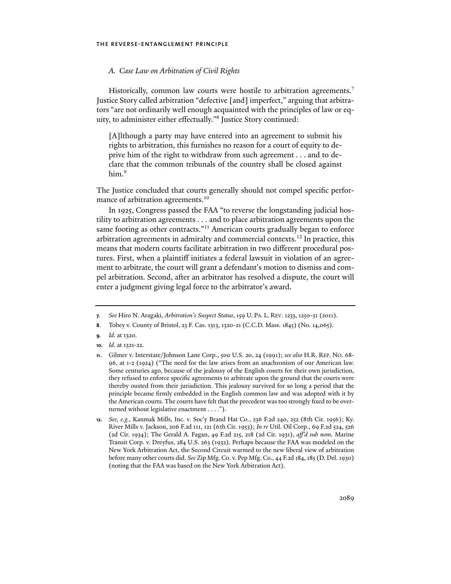## *A. Case Law on Arbitration of Civil Rights*

Historically, common law courts were hostile to arbitration agreements.<sup>7</sup> Justice Story called arbitration "defective [and] imperfect," arguing that arbitrators "are not ordinarily well enough acquainted with the principles of law or equity, to administer either effectually."8 Justice Story continued:

[A]lthough a party may have entered into an agreement to submit his rights to arbitration, this furnishes no reason for a court of equity to deprive him of the right to withdraw from such agreement . . . and to declare that the common tribunals of the country shall be closed against him.9

The Justice concluded that courts generally should not compel specific performance of arbitration agreements.<sup>10</sup>

In 1925, Congress passed the FAA "to reverse the longstanding judicial hostility to arbitration agreements . . . and to place arbitration agreements upon the same footing as other contracts."<sup>11</sup> American courts gradually began to enforce arbitration agreements in admiralty and commercial contexts.<sup>12</sup> In practice, this means that modern courts facilitate arbitration in two different procedural postures. First, when a plaintiff initiates a federal lawsuit in violation of an agreement to arbitrate, the court will grant a defendant's motion to dismiss and compel arbitration. Second, after an arbitrator has resolved a dispute, the court will enter a judgment giving legal force to the arbitrator's award.

**<sup>7</sup>***. See* Hiro N. Aragaki, *Arbitration's Suspect Status*, 159 U. PA. L. REV. 1233, 1250-51 (2011).

**<sup>8</sup>**. Tobey v. County of Bristol, 23 F. Cas. 1313, 1320-21 (C.C.D. Mass. 1845) (No. 14,065).

**<sup>9</sup>***. Id.* at 1320.

**<sup>10</sup>***. Id.* at 1321-22.

**<sup>11</sup>**. Gilmer v. Interstate/Johnson Lane Corp., 500 U.S. 20, 24 (1991); *see also* H.R. REP. NO. 68- 96, at 1-2 (1924) ("The need for the law arises from an anachronism of our American law. Some centuries ago, because of the jealousy of the English courts for their own jurisdiction, they refused to enforce specific agreements to arbitrate upon the ground that the courts were thereby ousted from their jurisdiction. This jealousy survived for so long a period that the principle became firmly embedded in the English common law and was adopted with it by the American courts. The courts have felt that the precedent was too strongly fixed to be overturned without legislative enactment . . . .").

**<sup>12</sup>***. See, e.g.*, Kanmak Mills, Inc. v. Soc'y Brand Hat Co., 236 F.2d 240, 252 (8th Cir. 1956); Ky. River Mills v. Jackson, 206 F.2d 111, 121 (6th Cir. 1953); *In re* Util. Oil Corp., 69 F.2d 524, 526 (2d Cir. 1934); The Gerald A. Fagan, 49 F.2d 215, 218 (2d Cir. 1931), *aff'd sub nom.* Marine Transit Corp. v. Dreyfus, 284 U.S. 263 (1932). Perhaps because the FAA was modeled on the New York Arbitration Act, the Second Circuit warmed to the new liberal view of arbitration before many other courts did. *See* Zip Mfg. Co. v. Pep Mfg. Co., 44 F.2d 184, 185 (D. Del. 1930) (noting that the FAA was based on the New York Arbitration Act).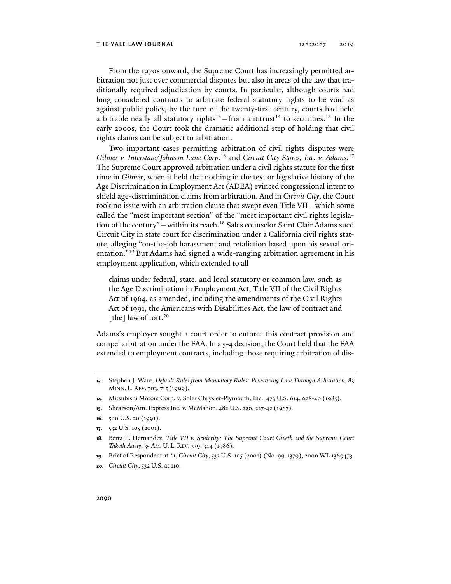From the 1970s onward, the Supreme Court has increasingly permitted arbitration not just over commercial disputes but also in areas of the law that traditionally required adjudication by courts. In particular, although courts had long considered contracts to arbitrate federal statutory rights to be void as against public policy, by the turn of the twenty-first century, courts had held arbitrable nearly all statutory rights<sup>13</sup> – from antitrust<sup>14</sup> to securities.<sup>15</sup> In the early 2000s, the Court took the dramatic additional step of holding that civil rights claims can be subject to arbitration.

Two important cases permitting arbitration of civil rights disputes were *Gilmer v. Interstate/Johnson Lane Corp.*16 and *Circuit City Stores, Inc. v. Adams.*<sup>17</sup> The Supreme Court approved arbitration under a civil rights statute for the first time in *Gilmer*, when it held that nothing in the text or legislative history of the Age Discrimination in Employment Act (ADEA) evinced congressional intent to shield age-discrimination claims from arbitration. And in *Circuit City*, the Court took no issue with an arbitration clause that swept even Title VII—which some called the "most important section" of the "most important civil rights legislation of the century"—within its reach.18 Sales counselor Saint Clair Adams sued Circuit City in state court for discrimination under a California civil rights statute, alleging "on-the-job harassment and retaliation based upon his sexual orientation."19 But Adams had signed a wide-ranging arbitration agreement in his employment application, which extended to all

claims under federal, state, and local statutory or common law, such as the Age Discrimination in Employment Act, Title VII of the Civil Rights Act of 1964, as amended, including the amendments of the Civil Rights Act of 1991, the Americans with Disabilities Act, the law of contract and [the] law of tort. $20$ 

Adams's employer sought a court order to enforce this contract provision and compel arbitration under the FAA. In a 5-4 decision, the Court held that the FAA extended to employment contracts, including those requiring arbitration of dis-

- **14**. Mitsubishi Motors Corp. v. Soler Chrysler-Plymouth, Inc., 473 U.S. 614, 628-40 (1985).
- **15**. Shearson/Am. Express Inc. v. McMahon, 482 U.S. 220, 227-42 (1987).
- **16**. 500 U.S. 20 (1991).
- **17**. 532 U.S. 105 (2001).
- **18**. Berta E. Hernandez, *Title VII v. Seniority: The Supreme Court Giveth and the Supreme Court Taketh Away*, 35 AM. U. L. REV. 339, 344 (1986).
- **19**. Brief of Respondent at \*1, *Circuit City*, 532 U.S. 105 (2001) (No. 99-1379), 2000 WL 1369473.
- **20***. Circuit City*, 532 U.S. at 110.

**<sup>13</sup>**. Stephen J. Ware, *Default Rules from Mandatory Rules: Privatizing Law Through Arbitration*, 83 MINN. L. REV. 703, 715 (1999).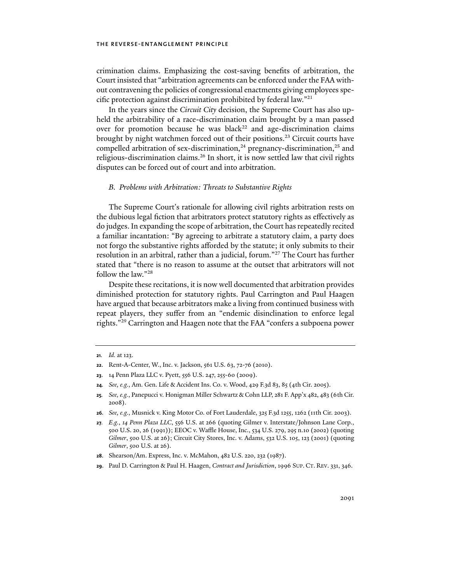crimination claims. Emphasizing the cost-saving benefits of arbitration, the Court insisted that "arbitration agreements can be enforced under the FAA without contravening the policies of congressional enactments giving employees specific protection against discrimination prohibited by federal law."21

In the years since the *Circuit City* decision, the Supreme Court has also upheld the arbitrability of a race-discrimination claim brought by a man passed over for promotion because he was black<sup>22</sup> and age-discrimination claims brought by night watchmen forced out of their positions.<sup>23</sup> Circuit courts have compelled arbitration of sex-discrimination, $24$  pregnancy-discrimination, $25$  and religious-discrimination claims.<sup>26</sup> In short, it is now settled law that civil rights disputes can be forced out of court and into arbitration.

## *B. Problems with Arbitration: Threats to Substantive Rights*

The Supreme Court's rationale for allowing civil rights arbitration rests on the dubious legal fiction that arbitrators protect statutory rights as effectively as do judges. In expanding the scope of arbitration, the Court has repeatedly recited a familiar incantation: "By agreeing to arbitrate a statutory claim, a party does not forgo the substantive rights afforded by the statute; it only submits to their resolution in an arbitral, rather than a judicial, forum."27 The Court has further stated that "there is no reason to assume at the outset that arbitrators will not follow the law."28

Despite these recitations, it is now well documented that arbitration provides diminished protection for statutory rights. Paul Carrington and Paul Haagen have argued that because arbitrators make a living from continued business with repeat players, they suffer from an "endemic disinclination to enforce legal rights."29 Carrington and Haagen note that the FAA "confers a subpoena power

- **25***. See, e.g.*, Panepucci v. Honigman Miller Schwartz & Cohn LLP, 281 F. App'x 482, 483 (6th Cir. 2008).
- **26***. See, e.g.*, Musnick v. King Motor Co. of Fort Lauderdale, 325 F.3d 1255, 1262 (11th Cir. 2003).

- **28**. Shearson/Am. Express, Inc. v. McMahon, 482 U.S. 220, 232 (1987).
- **29**. Paul D. Carrington & Paul H. Haagen, *Contract and Jurisdiction*, 1996 SUP. CT. REV. 331, 346.

**<sup>21</sup>***. Id.* at 123.

**<sup>22</sup>**. Rent-A-Center, W., Inc. v. Jackson, 561 U.S. 63, 72-76 (2010).

**<sup>23</sup>**. 14 Penn Plaza LLC v. Pyett, 556 U.S. 247, 255-60 (2009).

**<sup>24</sup>***. See, e.g.*, Am. Gen. Life & Accident Ins. Co. v. Wood, 429 F.3d 83, 85 (4th Cir. 2005).

**<sup>27</sup>***. E.g.*, *14 Penn Plaza LLC*, 556 U.S. at 266 (quoting Gilmer v. Interstate/Johnson Lane Corp., 500 U.S. 20, 26 (1991)); EEOC v. Waffle House, Inc., 534 U.S. 279, 295 n.10 (2002) (quoting *Gilmer*, 500 U.S. at 26); Circuit City Stores, Inc. v. Adams, 532 U.S. 105, 123 (2001) (quoting *Gilmer*, 500 U.S. at 26).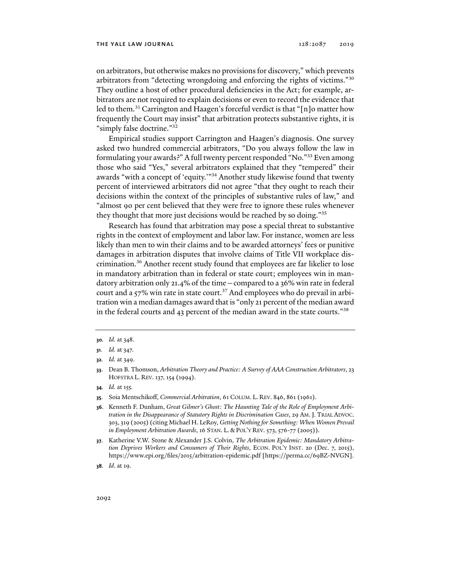on arbitrators, but otherwise makes no provisions for discovery," which prevents arbitrators from "detecting wrongdoing and enforcing the rights of victims."30 They outline a host of other procedural deficiencies in the Act; for example, arbitrators are not required to explain decisions or even to record the evidence that led to them.<sup>31</sup> Carrington and Haagen's forceful verdict is that "[n]o matter how frequently the Court may insist" that arbitration protects substantive rights, it is "simply false doctrine."32

Empirical studies support Carrington and Haagen's diagnosis. One survey asked two hundred commercial arbitrators, "Do you always follow the law in formulating your awards?" A full twenty percent responded "No."33 Even among those who said "Yes," several arbitrators explained that they "tempered" their awards "with a concept of 'equity.'"34 Another study likewise found that twenty percent of interviewed arbitrators did not agree "that they ought to reach their decisions within the context of the principles of substantive rules of law," and "almost 90 per cent believed that they were free to ignore these rules whenever they thought that more just decisions would be reached by so doing."35

Research has found that arbitration may pose a special threat to substantive rights in the context of employment and labor law. For instance, women are less likely than men to win their claims and to be awarded attorneys' fees or punitive damages in arbitration disputes that involve claims of Title VII workplace discrimination.36 Another recent study found that employees are far likelier to lose in mandatory arbitration than in federal or state court; employees win in mandatory arbitration only 21.4% of the time—compared to a 36% win rate in federal court and a  $57\%$  win rate in state court.<sup>37</sup> And employees who do prevail in arbitration win a median damages award that is "only 21 percent of the median award in the federal courts and 43 percent of the median award in the state courts."38

- **34***. Id.* at 155*.*
- **35**. Soia Mentschikoff, *Commercial Arbitration*, 61 COLUM. L. REV. 846, 861 (1961).

**<sup>30</sup>***. Id.* at 348.

**<sup>31</sup>***. Id.* at 347.

**<sup>32</sup>***. Id.* at 349.

**<sup>33</sup>**. Dean B. Thomson, *Arbitration Theory and Practice: A Survey of AAA Construction Arbitrators*, 23 HOFSTRA L. REV. 137, 154 (1994).

**<sup>36</sup>**. Kenneth F. Dunham, *Great Gilmer's Ghost: The Haunting Tale of the Role of Employment Arbitration in the Disappearance of Statutory Rights in Discrimination Cases*, 29 AM. J. TRIAL ADVOC. 303, 319 (2005) (citing Michael H. LeRoy, *Getting Nothing for Something: When Women Prevail in Employment Arbitration Awards*, 16 STAN. L. & POL'Y REV. 573, 576-77 (2005)).

**<sup>37</sup>**. Katherine V.W. Stone & Alexander J.S. Colvin, *The Arbitration Epidemic: Mandatory Arbitration Deprives Workers and Consumers of Their Rights*, ECON. POL'Y INST. 20 (Dec. 7, 2015), https://www.epi.org/files/2015/arbitration-epidemic.pdf [https://perma.cc/69BZ-NVGN].

**<sup>38</sup>***. Id*. at 19.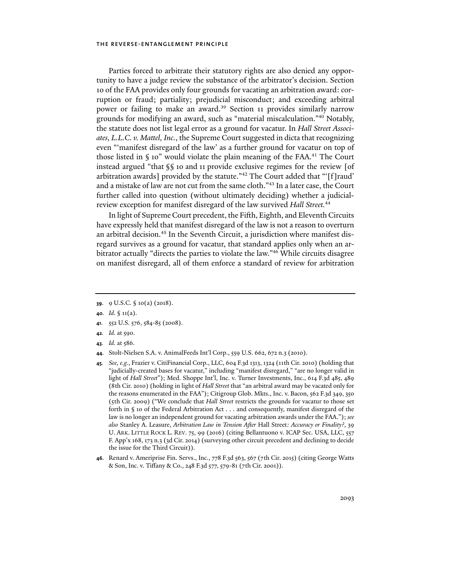Parties forced to arbitrate their statutory rights are also denied any opportunity to have a judge review the substance of the arbitrator's decision. Section 10 of the FAA provides only four grounds for vacating an arbitration award: corruption or fraud; partiality; prejudicial misconduct; and exceeding arbitral power or failing to make an award.<sup>39</sup> Section 11 provides similarly narrow grounds for modifying an award, such as "material miscalculation."40 Notably, the statute does not list legal error as a ground for vacatur. In *Hall Street Associates, L.L.C. v. Mattel, Inc.*, the Supreme Court suggested in dicta that recognizing even "'manifest disregard of the law' as a further ground for vacatur on top of those listed in  $\S$  10" would violate the plain meaning of the FAA.<sup>41</sup> The Court instead argued "that §§ 10 and 11 provide exclusive regimes for the review [of arbitration awards] provided by the statute."42 The Court added that "'[f]raud' and a mistake of law are not cut from the same cloth."43 In a later case, the Court further called into question (without ultimately deciding) whether a judicialreview exception for manifest disregard of the law survived *Hall Street.*<sup>44</sup>

In light of Supreme Court precedent, the Fifth, Eighth, and Eleventh Circuits have expressly held that manifest disregard of the law is not a reason to overturn an arbitral decision.<sup>45</sup> In the Seventh Circuit, a jurisdiction where manifest disregard survives as a ground for vacatur, that standard applies only when an arbitrator actually "directs the parties to violate the law."46 While circuits disagree on manifest disregard, all of them enforce a standard of review for arbitration

- **41**. 552 U.S. 576, 584-85 (2008).
- **42***. Id.* at 590.
- **43***. Id.* at 586.
- **44**. Stolt-Nielsen S.A. v. AnimalFeeds Int'l Corp., 559 U.S. 662, 672 n.3 (2010).
- **45***. See, e.g.*, Frazier v. CitiFinancial Corp., LLC, 604 F.3d 1313, 1324 (11th Cir. 2010) (holding that "judicially-created bases for vacatur," including "manifest disregard," "are no longer valid in light of *Hall Street*"); Med. Shoppe Int'l, Inc. v. Turner Investments, Inc., 614 F.3d 485, 489 (8th Cir. 2010) (holding in light of *Hall Street* that "an arbitral award may be vacated only for the reasons enumerated in the FAA"); Citigroup Glob. Mkts., Inc. v. Bacon, 562 F.3d 349, 350 (5th Cir. 2009) ("We conclude that *Hall Street* restricts the grounds for vacatur to those set forth in § 10 of the Federal Arbitration Act . . . and consequently, manifest disregard of the law is no longer an independent ground for vacating arbitration awards under the FAA."); *see also* Stanley A. Leasure, *Arbitration Law in Tension After* Hall Street*: Accuracy or Finality?*, 39 U. ARK. LITTLE ROCK L. REV. 75, 99 (2016) (citing Bellantuono v. ICAP Sec. USA, LLC, 557 F. App'x 168, 173 n.3 (3d Cir. 2014) (surveying other circuit precedent and declining to decide the issue for the Third Circuit)).
- **46**. Renard v. Ameriprise Fin. Servs., Inc., 778 F.3d 563, 567 (7th Cir. 2015) (citing George Watts & Son, Inc. v. Tiffany & Co., 248 F.3d 577, 579-81 (7th Cir. 2001)).

**<sup>39</sup>**. 9 U.S.C. § 10(a) (2018).

**<sup>40</sup>***. Id.* § 11(a).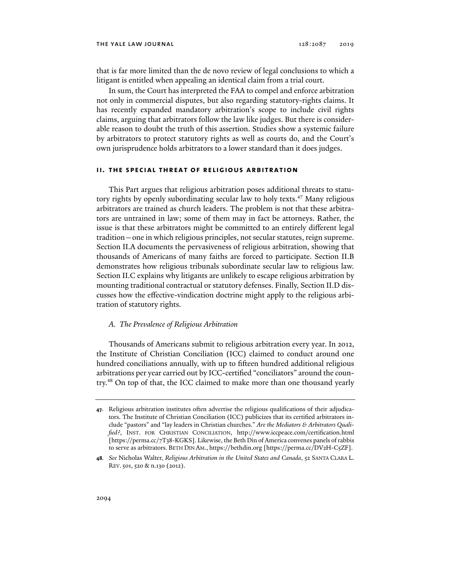that is far more limited than the de novo review of legal conclusions to which a litigant is entitled when appealing an identical claim from a trial court.

In sum, the Court has interpreted the FAA to compel and enforce arbitration not only in commercial disputes, but also regarding statutory-rights claims. It has recently expanded mandatory arbitration's scope to include civil rights claims, arguing that arbitrators follow the law like judges. But there is considerable reason to doubt the truth of this assertion. Studies show a systemic failure by arbitrators to protect statutory rights as well as courts do, and the Court's own jurisprudence holds arbitrators to a lower standard than it does judges.

## **ii. the special threat of religious arbitration**

This Part argues that religious arbitration poses additional threats to statutory rights by openly subordinating secular law to holy texts.<sup>47</sup> Many religious arbitrators are trained as church leaders. The problem is not that these arbitrators are untrained in law; some of them may in fact be attorneys. Rather, the issue is that these arbitrators might be committed to an entirely different legal tradition—one in which religious principles, not secular statutes, reign supreme. Section II.A documents the pervasiveness of religious arbitration, showing that thousands of Americans of many faiths are forced to participate. Section II.B demonstrates how religious tribunals subordinate secular law to religious law. Section II.C explains why litigants are unlikely to escape religious arbitration by mounting traditional contractual or statutory defenses. Finally, Section II.D discusses how the effective-vindication doctrine might apply to the religious arbitration of statutory rights.

## *A. The Prevalence of Religious Arbitration*

Thousands of Americans submit to religious arbitration every year. In 2012, the Institute of Christian Conciliation (ICC) claimed to conduct around one hundred conciliations annually, with up to fifteen hundred additional religious arbitrations per year carried out by ICC-certified "conciliators" around the country.48 On top of that, the ICC claimed to make more than one thousand yearly

**<sup>47</sup>**. Religious arbitration institutes often advertise the religious qualifications of their adjudicators. The Institute of Christian Conciliation (ICC) publicizes that its certified arbitrators include "pastors" and "lay leaders in Christian churches." *Are the Mediators & Arbitrators Qualified?*, INST. FOR CHRISTIAN CONCILIATION, http://www.iccpeace.com/certification.html [https://perma.cc/7T38-KGKS]. Likewise, the Beth Din of America convenes panels of rabbis to serve as arbitrators. BETH DIN AM., https://bethdin.org [https://perma.cc/DV2H-C5ZF].

**<sup>48</sup>***. See* Nicholas Walter, *Religious Arbitration in the United States and Canada*, 52 SANTA CLARA L. REV.501, 520 & n.130 (2012).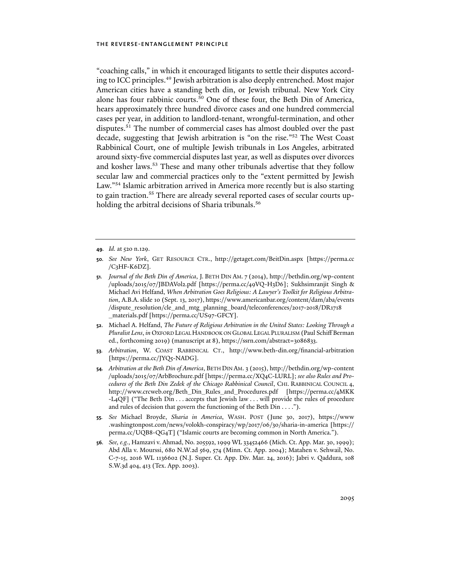"coaching calls," in which it encouraged litigants to settle their disputes according to ICC principles.49 Jewish arbitration is also deeply entrenched. Most major American cities have a standing beth din, or Jewish tribunal. New York City alone has four rabbinic courts.50 One of these four, the Beth Din of America, hears approximately three hundred divorce cases and one hundred commercial cases per year, in addition to landlord-tenant, wrongful-termination, and other disputes.<sup>51</sup> The number of commercial cases has almost doubled over the past decade, suggesting that Jewish arbitration is "on the rise."52 The West Coast Rabbinical Court, one of multiple Jewish tribunals in Los Angeles, arbitrated around sixty-five commercial disputes last year, as well as disputes over divorces and kosher laws.53 These and many other tribunals advertise that they follow secular law and commercial practices only to the "extent permitted by Jewish Law."54 Islamic arbitration arrived in America more recently but is also starting to gain traction.<sup>55</sup> There are already several reported cases of secular courts upholding the arbitral decisions of Sharia tribunals.<sup>56</sup>

- **52**. Michael A. Helfand, *The Future of Religious Arbitration in the United States: Looking Through a Pluralist Lens*, *in* OXFORD LEGAL HANDBOOK ON GLOBAL LEGAL PLURALISM (Paul Schiff Berman ed., forthcoming 2019) (manuscript at 8), https://ssrn.com/abstract=3086833.
- **53***. Arbitration*, W. COAST RABBINICAL CT., http://www.beth-din.org/financial-arbitration [https://perma.cc/JYQ5-NADG].
- **54***. Arbitration at the Beth Din of America*, BETH DIN AM. 3 (2015), http://bethdin.org/wp-content /uploads/2015/07/ArbBrochure.pdf [https://perma.cc/XQ4C-LURL]; *see also Rules and Procedures of the Beth Din Zedek of the Chicago Rabbinical Council*, CHI. RABBINICAL COUNCIL 4, http://www.crcweb.org/Beth\_Din\_Rules\_and\_Procedures.pdf [https://perma.cc/4MKK -L4QF] ("The Beth Din . . . accepts that Jewish law . . . will provide the rules of procedure and rules of decision that govern the functioning of the Beth Din . . . .").
- **55***. See* Michael Broyde, *Sharia in America*, WASH. POST (June 30, 2017), https://www .washingtonpost.com/news/volokh-conspiracy/wp/2017/06/30/sharia-in-america [https:// perma.cc/UQB8-QG4T] ("Islamic courts are becoming common in North America.").
- **56***. See, e.g.*, Hamzavi v. Ahmad, No. 205592, 1999 WL 33452466 (Mich. Ct. App. Mar. 30, 1999); Abd Alla v. Mourssi, 680 N.W.2d 569, 574 (Minn. Ct. App. 2004); Matahen v. Sehwail, No. C-7-15, 2016 WL 1136602 (N.J. Super. Ct. App. Div. Mar. 24, 2016); Jabri v. Qaddura, 108 S.W.3d 404, 413 (Tex. App. 2003).

**<sup>49</sup>***. Id.* at 520 n.129.

**<sup>50</sup>***. See New York*, GET RESOURCE CTR., http://getaget.com/BeitDin.aspx [https://perma.cc /C3HF-K6DZ].

**<sup>51</sup>***. Journal of the Beth Din of America*, J. BETH DIN AM. 7 (2014), http://bethdin.org/wp-content /uploads/2015/07/JBDAVol2.pdf [https://perma.cc/49VQ-H3D6]; Sukhsimranjit Singh & Michael Avi Helfand, *When Arbitration Goes Religious: A Lawyer's Toolkit for Religious Arbitration*, A.B.A.slide 10 (Sept. 13, 2017), https://www.americanbar.org/content/dam/aba/events /dispute\_resolution/cle\_and\_mtg\_planning\_board/teleconferences/2017-2018/DR1718 \_materials.pdf [https://perma.cc/US97-GFCY].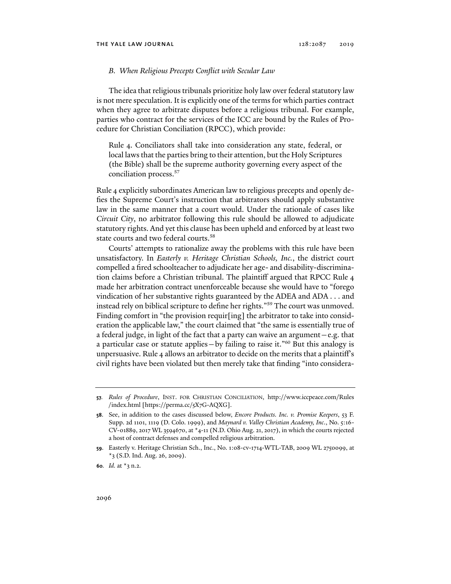#### *B. When Religious Precepts Conflict with Secular Law*

The idea that religious tribunals prioritize holy law over federal statutory law is not mere speculation. It is explicitly one of the terms for which parties contract when they agree to arbitrate disputes before a religious tribunal. For example, parties who contract for the services of the ICC are bound by the Rules of Procedure for Christian Conciliation (RPCC), which provide:

Rule 4. Conciliators shall take into consideration any state, federal, or local laws that the parties bring to their attention, but the Holy Scriptures (the Bible) shall be the supreme authority governing every aspect of the conciliation process.57

Rule 4 explicitly subordinates American law to religious precepts and openly defies the Supreme Court's instruction that arbitrators should apply substantive law in the same manner that a court would. Under the rationale of cases like *Circuit City*, no arbitrator following this rule should be allowed to adjudicate statutory rights. And yet this clause has been upheld and enforced by at least two state courts and two federal courts.58

Courts' attempts to rationalize away the problems with this rule have been unsatisfactory. In *Easterly v. Heritage Christian Schools, Inc.*, the district court compelled a fired schoolteacher to adjudicate her age- and disability-discrimination claims before a Christian tribunal. The plaintiff argued that RPCC Rule 4 made her arbitration contract unenforceable because she would have to "forego vindication of her substantive rights guaranteed by the ADEA and ADA . . . and instead rely on biblical scripture to define her rights."59 The court was unmoved. Finding comfort in "the provision requir[ing] the arbitrator to take into consideration the applicable law," the court claimed that "the same is essentially true of a federal judge, in light of the fact that a party can waive an argument—e.g. that a particular case or statute applies—by failing to raise it."60 But this analogy is unpersuasive. Rule 4 allows an arbitrator to decide on the merits that a plaintiff's civil rights have been violated but then merely take that finding "into considera-

**<sup>57</sup>***. Rules of Procedure*, INST. FOR CHRISTIAN CONCILIATION, http://www.iccpeace.com/Rules /index.html [https://perma.cc/5X7G-AQXG].

**<sup>58</sup>**. See, in addition to the cases discussed below, *Encore Products. Inc. v. Promise Keepers*, 53 F. Supp. 2d 1101, 1119 (D. Colo. 1999), and *Maynard v. Valley Christian Academy, Inc*., No. 5:16- CV-01889, 2017 WL 3594670, at \*4-11 (N.D. Ohio Aug. 21, 2017), in which the courts rejected a host of contract defenses and compelled religious arbitration.

**<sup>59</sup>**. Easterly v. Heritage Christian Sch., Inc., No. 1:08-cv-1714-WTL-TAB, 2009 WL 2750099, at  $*$ 3 (S.D. Ind. Aug. 26, 2009).

**<sup>60</sup>***. Id.* at \*3 n.2.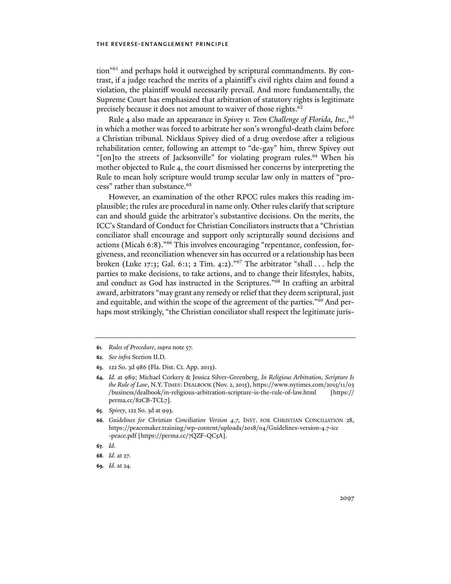tion"61 and perhaps hold it outweighed by scriptural commandments. By contrast, if a judge reached the merits of a plaintiff's civil rights claim and found a violation, the plaintiff would necessarily prevail. And more fundamentally, the Supreme Court has emphasized that arbitration of statutory rights is legitimate precisely because it does not amount to waiver of those rights.<sup>62</sup>

Rule 4 also made an appearance in *Spivey v. Teen Challenge of Florida, Inc.*, 63 in which a mother was forced to arbitrate her son's wrongful-death claim before a Christian tribunal*.* Nicklaus Spivey died of a drug overdose after a religious rehabilitation center, following an attempt to "de-gay" him, threw Spivey out "[on]to the streets of Jacksonville" for violating program rules.<sup>64</sup> When his mother objected to Rule 4, the court dismissed her concerns by interpreting the Rule to mean holy scripture would trump secular law only in matters of "process" rather than substance.<sup>65</sup>

However, an examination of the other RPCC rules makes this reading implausible; the rules are procedural in name only. Other rules clarify that scripture can and should guide the arbitrator's substantive decisions. On the merits, the ICC's Standard of Conduct for Christian Conciliators instructs that a "Christian conciliator shall encourage and support only scripturally sound decisions and actions (Micah 6:8)."66 This involves encouraging "repentance, confession, forgiveness, and reconciliation whenever sin has occurred or a relationship has been broken (Luke 17:3; Gal. 6:1; 2 Tim. 4:2)."67 The arbitrator "shall . . . help the parties to make decisions, to take actions, and to change their lifestyles, habits, and conduct as God has instructed in the Scriptures."68 In crafting an arbitral award, arbitrators "may grant any remedy or relief that they deem scriptural, just and equitable, and within the scope of the agreement of the parties."69 And perhaps most strikingly, "the Christian conciliator shall respect the legitimate juris-

**65***. Spivey*, 122 So. 3d at 993.

**<sup>61</sup>***. Rules of Procedure*, *supra* note 57.

**<sup>62</sup>***. See infra* Section II.D.

**<sup>63</sup>**. 122 So. 3d 986 (Fla. Dist. Ct. App. 2013).

**<sup>64</sup>***. Id.* at 989; Michael Corkery & Jessica Silver-Greenberg, *In Religious Arbitration, Scripture Is the Rule of Law*, N.Y. TIMES: DEALBOOK (Nov. 2, 2015), https://www.nytimes.com/2015/11/03 /business/dealbook/in-religious-arbitration-scripture-is-the-rule-of-law.html [https:// perma.cc/82CB-TCL7].

**<sup>66</sup>***. Guidelines for Christian Conciliation Version 4.7*, INST. FOR CHRISTIAN CONCILIATION 28, https://peacemaker.training/wp-content/uploads/2018/04/Guidelines-version-4.7-icc -peace.pdf [https://perma.cc/7QZF-QC5A].

**<sup>67</sup>***. Id*.

**<sup>68</sup>***. Id.* at 27.

**<sup>69</sup>***. Id.* at 24.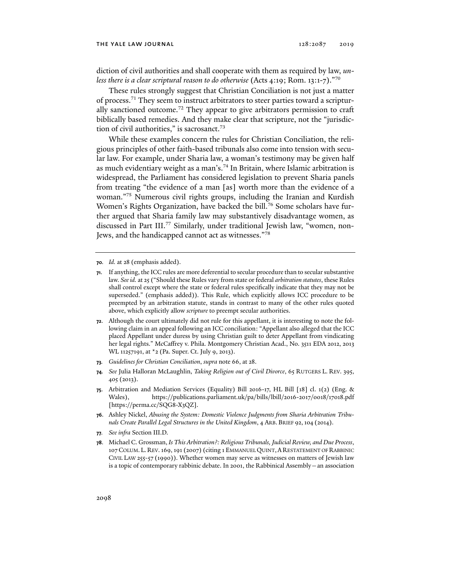diction of civil authorities and shall cooperate with them as required by law, *unless there is a clear scriptural reason to do otherwise* (Acts 4:19; Rom. 13:1-7)."70

These rules strongly suggest that Christian Conciliation is not just a matter of process.71 They seem to instruct arbitrators to steer parties toward a scripturally sanctioned outcome.72 They appear to give arbitrators permission to craft biblically based remedies. And they make clear that scripture, not the "jurisdiction of civil authorities," is sacrosanct.<sup>73</sup>

While these examples concern the rules for Christian Conciliation, the religious principles of other faith-based tribunals also come into tension with secular law. For example, under Sharia law, a woman's testimony may be given half as much evidentiary weight as a man's.<sup>74</sup> In Britain, where Islamic arbitration is widespread, the Parliament has considered legislation to prevent Sharia panels from treating "the evidence of a man [as] worth more than the evidence of a woman."75 Numerous civil rights groups, including the Iranian and Kurdish Women's Rights Organization, have backed the bill.<sup>76</sup> Some scholars have further argued that Sharia family law may substantively disadvantage women, as discussed in Part III.77 Similarly, under traditional Jewish law, "women, non-Jews, and the handicapped cannot act as witnesses."78

- **70***. Id.* at 28 (emphasis added).
- **71**. If anything, the ICC rules are more deferential to secular procedure than to secular substantive law. *See id.* at 25 ("Should these Rules vary from state or federal *arbitration statutes*, these Rules shall control except where the state or federal rules specifically indicate that they may not be superseded." (emphasis added)). This Rule, which explicitly allows ICC procedure to be preempted by an arbitration statute, stands in contrast to many of the other rules quoted above, which explicitly allow *scripture* to preempt secular authorities.
- **72**. Although the court ultimately did not rule for this appellant, it is interesting to note the following claim in an appeal following an ICC conciliation: "Appellant also alleged that the ICC placed Appellant under duress by using Christian guilt to deter Appellant from vindicating her legal rights." McCaffrey v. Phila. Montgomery Christian Acad., No. 3511 EDA 2012, 2013 WL 11257191, at <sup>\*</sup>2 (Pa. Super. Ct. July 9, 2013).
- **73***. Guidelines for Christian Conciliation*, *supra* note 66, at 28.
- **74***. See* Julia Halloran McLaughlin, *Taking Religion out of Civil Divorce*, 65 RUTGERS L. REV. 395, 405 (2013).
- **75**. Arbitration and Mediation Services (Equality) Bill 2016-17, HL Bill [18] cl. 1(2) (Eng. & Wales), https://publications.parliament.uk/pa/bills/lbill/2016-2017/0018/17018.pdf [https://perma.cc/SQG8-X3QZ].
- **76**. Ashley Nickel, *Abusing the System: Domestic Violence Judgments from Sharia Arbitration Tribunals Create Parallel Legal Structures in the United Kingdom*, 4 ARB. BRIEF 92,104 (2014).
- **77***. See infra* Section III.D.
- **78**. Michael C. Grossman, *Is This Arbitration?: Religious Tribunals, Judicial Review, and Due Process*, 107 COLUM. L. REV. 169, 191 (2007) (citing 1 EMMANUEL QUINT,ARESTATEMENT OF RABBINIC CIVIL LAW 255-57 (1990)). Whether women may serve as witnesses on matters of Jewish law is a topic of contemporary rabbinic debate. In 2001, the Rabbinical Assembly—an association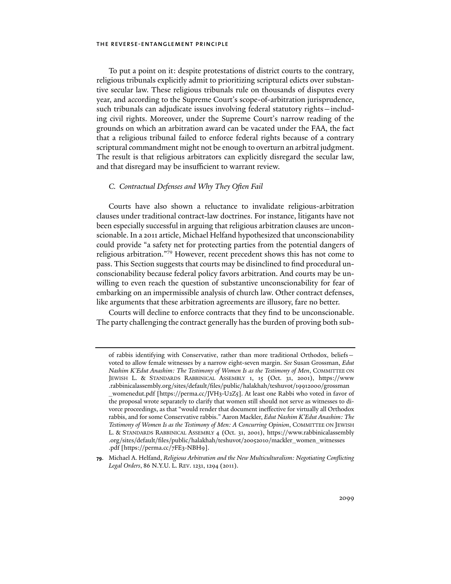To put a point on it: despite protestations of district courts to the contrary, religious tribunals explicitly admit to prioritizing scriptural edicts over substantive secular law. These religious tribunals rule on thousands of disputes every year, and according to the Supreme Court's scope-of-arbitration jurisprudence, such tribunals can adjudicate issues involving federal statutory rights—including civil rights. Moreover, under the Supreme Court's narrow reading of the grounds on which an arbitration award can be vacated under the FAA, the fact that a religious tribunal failed to enforce federal rights because of a contrary scriptural commandment might not be enough to overturn an arbitral judgment. The result is that religious arbitrators can explicitly disregard the secular law, and that disregard may be insufficient to warrant review.

## *C. Contractual Defenses and Why They Often Fail*

Courts have also shown a reluctance to invalidate religious-arbitration clauses under traditional contract-law doctrines. For instance, litigants have not been especially successful in arguing that religious arbitration clauses are unconscionable. In a 2011 article, Michael Helfand hypothesized that unconscionability could provide "a safety net for protecting parties from the potential dangers of religious arbitration."79 However, recent precedent shows this has not come to pass. This Section suggests that courts may be disinclined to find procedural unconscionability because federal policy favors arbitration. And courts may be unwilling to even reach the question of substantive unconscionability for fear of embarking on an impermissible analysis of church law. Other contract defenses, like arguments that these arbitration agreements are illusory, fare no better.

Courts will decline to enforce contracts that they find to be unconscionable. The party challenging the contract generally has the burden of proving both sub-

of rabbis identifying with Conservative, rather than more traditional Orthodox, beliefs voted to allow female witnesses by a narrow eight-seven margin. *See* Susan Grossman, *Edut Nashim K'Edut Anashim: The Testimony of Women Is as the Testimony of Men*, COMMITTEE ON JEWISH L. & STANDARDS RABBINICAL ASSEMBLY 1, 15 (Oct. 31, 2001), https://www .rabbinicalassembly.org/sites/default/files/public/halakhah/teshuvot/19912000/grossman \_womenedut.pdf [https://perma.cc/JVH3-U2Z5]. At least one Rabbi who voted in favor of the proposal wrote separately to clarify that women still should not serve as witnesses to divorce proceedings, as that "would render that document ineffective for virtually all Orthodox rabbis, and for some Conservative rabbis." Aaron Mackler, *Edut Nashim K'Edut Anashim: The Testimony of Women Is as the Testimony of Men: A Concurring Opinion*, COMMITTEE ON JEWISH L. & STANDARDS RABBINICAL ASSEMBLY 4 (Oct. 31, 2001), https://www.rabbinicalassembly .org/sites/default/files/public/halakhah/teshuvot/20052010/mackler\_women\_witnesses .pdf [https://perma.cc/7FE3-NBH9].

**<sup>79</sup>**. Michael A. Helfand, *Religious Arbitration and the New Multiculturalism: Negotiating Conflicting Legal Orders*, 86 N.Y.U. L. REV. 1231, 1294 (2011).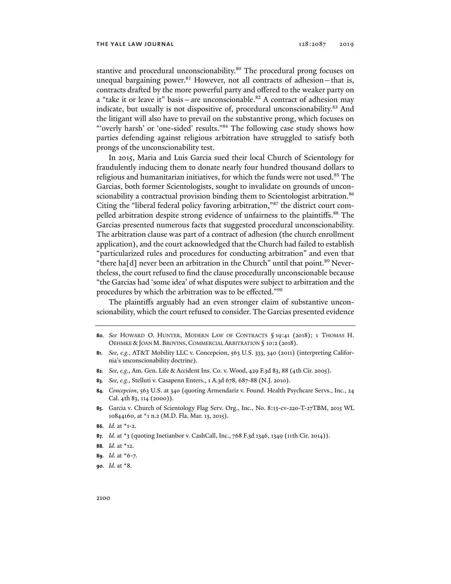stantive and procedural unconscionability.<sup>80</sup> The procedural prong focuses on unequal bargaining power. $81$  However, not all contracts of adhesion – that is, contracts drafted by the more powerful party and offered to the weaker party on a "take it or leave it" basis—are unconscionable.<sup>82</sup> A contract of adhesion may indicate, but usually is not dispositive of, procedural unconscionability.<sup>83</sup> And the litigant will also have to prevail on the substantive prong, which focuses on "'overly harsh' or 'one-sided' results."<sup>84</sup> The following case study shows how parties defending against religious arbitration have struggled to satisfy both prongs of the unconscionability test.

In 2015, Maria and Luis Garcia sued their local Church of Scientology for fraudulently inducing them to donate nearly four hundred thousand dollars to religious and humanitarian initiatives, for which the funds were not used.<sup>85</sup> The Garcias, both former Scientologists, sought to invalidate on grounds of unconscionability a contractual provision binding them to Scientologist arbitration.<sup>86</sup> Citing the "liberal federal policy favoring arbitration,"87 the district court compelled arbitration despite strong evidence of unfairness to the plaintiffs.<sup>88</sup> The Garcias presented numerous facts that suggested procedural unconscionability. The arbitration clause was part of a contract of adhesion (the church enrollment application), and the court acknowledged that the Church had failed to establish "particularized rules and procedures for conducting arbitration" and even that "there ha[d] never been an arbitration in the Church" until that point.<sup>89</sup> Nevertheless, the court refused to find the clause procedurally unconscionable because "the Garcias had 'some idea' of what disputes were subject to arbitration and the procedures by which the arbitration was to be effected."90

The plaintiffs arguably had an even stronger claim of substantive unconscionability, which the court refused to consider. The Garcias presented evidence

**80***. See* HOWARD O. HUNTER, MODERN LAW OF CONTRACTS § 19:41 (2018); 1 THOMAS H. OEHMKE & JOAN M. BROVINS, COMMERCIAL ARBITRATION § 10:2 (2018).

- **82***. See, e.g.*, Am. Gen. Life & Accident Ins. Co. v. Wood, 429 F.3d 83, 88 (4th Cir. 2005).
- **83***. See, e.g.*, Stelluti v. Casapenn Enters., 1 A.3d 678, 687-88 (N.J. 2010).
- **84***. Concepcion*, 563 U.S. at 340 (quoting Armendariz v. Found. Health Psychcare Servs., Inc., 24 Cal. 4th 83, 114 (2000)).
- **85**. Garcia v. Church of Scientology Flag Serv. Org., Inc., No. 8:13-cv-220-T-27TBM, 2015 WL 10844160, at \*1 n.2 (M.D. Fla. Mar. 13, 2015).
- **86***. Id.* at \*1-2.
- **87***. Id.* at \*3 (quoting Inetianbor v. CashCall, Inc., 768 F.3d 1346, 1349 (11th Cir. 2014)).
- **88***. Id.* at \*12.
- **89***. Id.* at \*6-7.
- **90***. Id.* at \*8.

**<sup>81</sup>***. See, e.g.*, AT&T Mobility LLC v. Concepcion, 563 U.S. 333, 340 (2011) (interpreting California's unconscionability doctrine).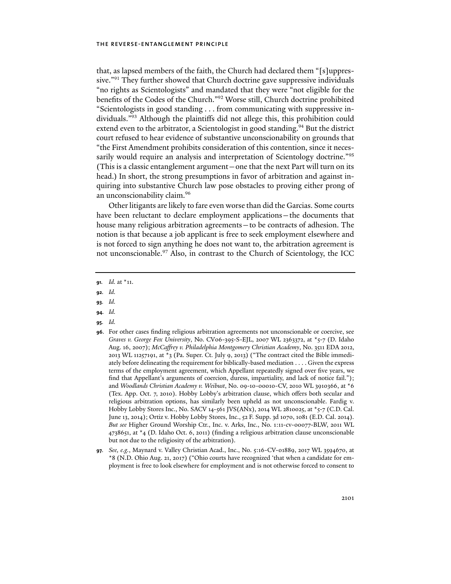that, as lapsed members of the faith, the Church had declared them "[s]uppressive."<sup>91</sup> They further showed that Church doctrine gave suppressive individuals "no rights as Scientologists" and mandated that they were "not eligible for the benefits of the Codes of the Church."92 Worse still, Church doctrine prohibited "Scientologists in good standing . . . from communicating with suppressive individuals."93 Although the plaintiffs did not allege this, this prohibition could extend even to the arbitrator, a Scientologist in good standing.<sup>94</sup> But the district court refused to hear evidence of substantive unconscionability on grounds that "the First Amendment prohibits consideration of this contention, since it necessarily would require an analysis and interpretation of Scientology doctrine."<sup>95</sup> (This is a classic entanglement argument—one that the next Part will turn on its head.) In short, the strong presumptions in favor of arbitration and against inquiring into substantive Church law pose obstacles to proving either prong of an unconscionability claim.96

Other litigants are likely to fare even worse than did the Garcias. Some courts have been reluctant to declare employment applications—the documents that house many religious arbitration agreements—to be contracts of adhesion. The notion is that because a job applicant is free to seek employment elsewhere and is not forced to sign anything he does not want to, the arbitration agreement is not unconscionable.97 Also, in contrast to the Church of Scientology, the ICC

- **92***. Id.*
- **93***. Id.*
- **94***. Id.*
- **95***. Id.*

**<sup>91</sup>***. Id.* at \*11.

**<sup>96</sup>**. For other cases finding religious arbitration agreements not unconscionable or coercive, see *Graves v. George Fox University*, No. CV06-395-S-EJL, 2007 WL 2363372, at \*5-7 (D. Idaho Aug. 16, 2007); *McCaffrey v. Philadelphia Montgomery Christian Academy*, No. 3511 EDA 2012, 2013 WL 11257191, at \*3 (Pa. Super. Ct. July 9, 2013) ("The contract cited the Bible immediately before delineating the requirement for biblically-based mediation . . . . Given the express terms of the employment agreement, which Appellant repeatedly signed over five years, we find that Appellant's arguments of coercion, duress, impartiality, and lack of notice fail."); and *Woodlands Christian Academy v. Weibust*, No. 09-10-00010-CV, 2010 WL 3910366, at \*6 (Tex. App. Oct. 7, 2010). Hobby Lobby's arbitration clause, which offers both secular and religious arbitration options, has similarly been upheld as not unconscionable. Fardig v. Hobby Lobby Stores Inc., No. SACV 14-561 JVS(ANx), 2014 WL 2810025, at \*5-7 (C.D. Cal. June 13, 2014); Ortiz v. Hobby Lobby Stores, Inc., 52 F. Supp. 3d 1070, 1081 (E.D. Cal. 2014). *But see* Higher Ground Worship Ctr., Inc. v. Arks, Inc., No. 1:11-cv-00077-BLW, 2011 WL 4738651, at \*4 (D. Idaho Oct. 6, 2011) (finding a religious arbitration clause unconscionable but not due to the religiosity of the arbitration).

**<sup>97</sup>***. See, e.g.*, Maynard v. Valley Christian Acad., Inc., No. 5:16-CV-01889, 2017 WL 3594670, at \*8 (N.D. Ohio Aug. 21, 2017) ("Ohio courts have recognized 'that when a candidate for employment is free to look elsewhere for employment and is not otherwise forced to consent to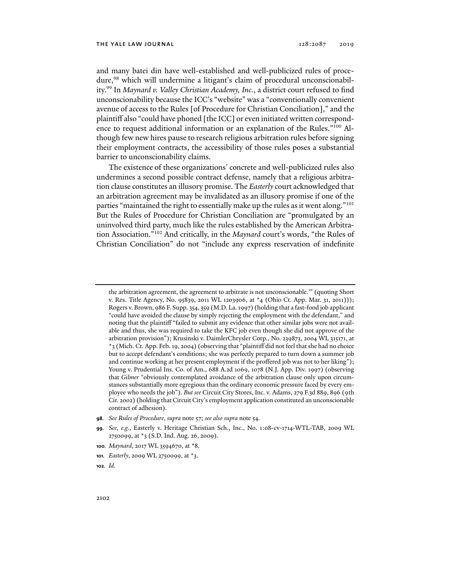and many batei din have well-established and well-publicized rules of procedure,<sup>98</sup> which will undermine a litigant's claim of procedural unconscionability.99 In *Maynard v. Valley Christian Academy, Inc.*, a district court refused to find unconscionability because the ICC's "website" was a "conventionally convenient avenue of access to the Rules [of Procedure for Christian Conciliation]," and the plaintiff also "could have phoned [the ICC] or even initiated written correspondence to request additional information or an explanation of the Rules."100 Although few new hires pause to research religious arbitration rules before signing their employment contracts, the accessibility of those rules poses a substantial barrier to unconscionability claims.

The existence of these organizations' concrete and well-publicized rules also undermines a second possible contract defense, namely that a religious arbitration clause constitutes an illusory promise. The *Easterly* court acknowledged that an arbitration agreement may be invalidated as an illusory promise if one of the parties "maintained the right to essentially make up the rules as it went along."101 But the Rules of Procedure for Christian Conciliation are "promulgated by an uninvolved third party, much like the rules established by the American Arbitration Association."102 And critically, in the *Maynard* court's words, "the Rules of Christian Conciliation" do not "include any express reservation of indefinite

the arbitration agreement, the agreement to arbitrate is not unconscionable.'" (quoting Short v. Res. Title Agency, No. 95839, 2011 WL 1203906, at \*4 (Ohio Ct. App. Mar. 31, 2011))); Rogers v. Brown, 986 F. Supp. 354, 359 (M.D. La. 1997) (holding that a fast-food job applicant "could have avoided the clause by simply rejecting the employment with the defendant," and noting that the plaintiff "failed to submit any evidence that other similar jobs were not available and thus, she was required to take the KFC job even though she did not approve of the arbitration provision"); Krusinski v. DaimlerChrysler Corp., No. 239873, 2004 WL 315171, at \*3 (Mich. Ct. App. Feb. 19, 2004) (observing that "plaintiff did not feel that she had no choice but to accept defendant's conditions; she was perfectly prepared to turn down a summer job and continue working at her present employment if the proffered job was not to her liking"); Young v. Prudential Ins. Co. of Am., 688 A.2d 1069, 1078 (N.J. App. Div. 1997) (observing that *Gilmer* "obviously contemplated avoidance of the arbitration clause only upon circumstances substantially more egregious than the ordinary economic pressure faced by every employee who needs the job"). *But see* Circuit City Stores, Inc. v. Adams, 279 F.3d 889, 896 (9th Cir. 2002) (holding that Circuit City's employment application constituted an unconscionable contract of adhesion).

**<sup>98</sup>***. See Rules of Procedure*, *supra* note 57; *see also supra* note 54.

**<sup>99</sup>***. See, e.g.*, Easterly v. Heritage Christian Sch., Inc., No. 1:08-cv-1714-WTL-TAB, 2009 WL 2750099, at \*3 (S.D. Ind. Aug. 26, 2009).

**<sup>100</sup>***. Maynard*, 2017 WL 3594670, at \*8.

**<sup>101</sup>***. Easterly*, 2009 WL 2750099, at \*3.

**<sup>102</sup>***. Id.*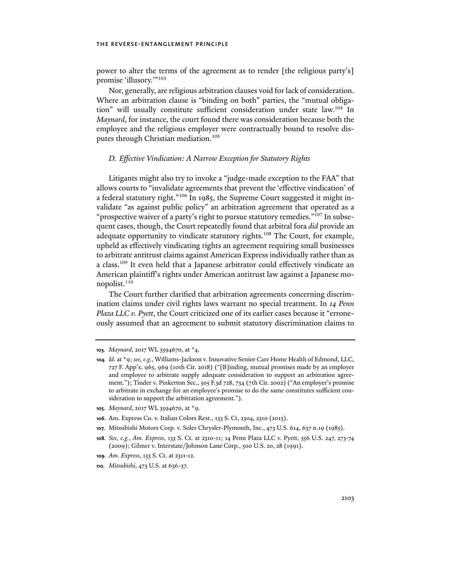power to alter the terms of the agreement as to render [the religious party's] promise 'illusory.'"103

Nor, generally, are religious arbitration clauses void for lack of consideration. Where an arbitration clause is "binding on both" parties, the "mutual obligation" will usually constitute sufficient consideration under state law.104 In *Maynard*, for instance, the court found there was consideration because both the employee and the religious employer were contractually bound to resolve disputes through Christian mediation.<sup>105</sup>

## *D. Effective Vindication: A Narrow Exception for Statutory Rights*

Litigants might also try to invoke a "judge-made exception to the FAA" that allows courts to "invalidate agreements that prevent the 'effective vindication' of a federal statutory right."<sup>106</sup> In 1985, the Supreme Court suggested it might invalidate "as against public policy" an arbitration agreement that operated as a "prospective waiver of a party's right to pursue statutory remedies."<sup>107</sup> In subsequent cases, though, the Court repeatedly found that arbitral fora *did* provide an adequate opportunity to vindicate statutory rights.<sup>108</sup> The Court, for example, upheld as effectively vindicating rights an agreement requiring small businesses to arbitrate antitrust claims against American Express individually rather than as a class.109 It even held that a Japanese arbitrator could effectively vindicate an American plaintiff's rights under American antitrust law against a Japanese monopolist.<sup>110</sup>

The Court further clarified that arbitration agreements concerning discrimination claims under civil rights laws warrant no special treatment. In *14 Penn Plaza LLC v. Pyett*, the Court criticized one of its earlier cases because it "erroneously assumed that an agreement to submit statutory discrimination claims to

**105***. Maynard*, 2017 WL 3594670, at \*9.

- **107**. Mitsubishi Motors Corp. v. Soler Chrysler-Plymouth, Inc., 473 U.S. 614, 637 n.19 (1985).
- **108***. See, e.g.*, *Am. Express*, 133 S. Ct. at 2310-11; 14 Penn Plaza LLC v. Pyett, 556 U.S. 247, 273-74 (2009); Gilmer v. Interstate/Johnson Lane Corp., 500 U.S. 20, 28 (1991).
- **109***. Am. Express*, 133 S. Ct. at 2311-12.
- **110***. Mitsubishi*, 473 U.S. at 636-37.

**<sup>103</sup>***. Maynard*, 2017 WL 3594670, at \*4.

**<sup>104</sup>***. Id.* at \*9; *see, e.g.*, Williams-Jackson v. Innovative Senior Care Home Health of Edmond, LLC, 727 F. App'x. 965, 969 (10th Cir. 2018) ("[B]inding, mutual promises made by an employer and employee to arbitrate supply adequate consideration to support an arbitration agreement."); Tinder v. Pinkerton Sec., 305 F.3d 728, 734 (7th Cir. 2002) ("An employer's promise to arbitrate in exchange for an employee's promise to do the same constitutes sufficient consideration to support the arbitration agreement.").

**<sup>106</sup>**. Am. Express Co. v. Italian Colors Rest., 133 S. Ct, 2304, 2310 (2013).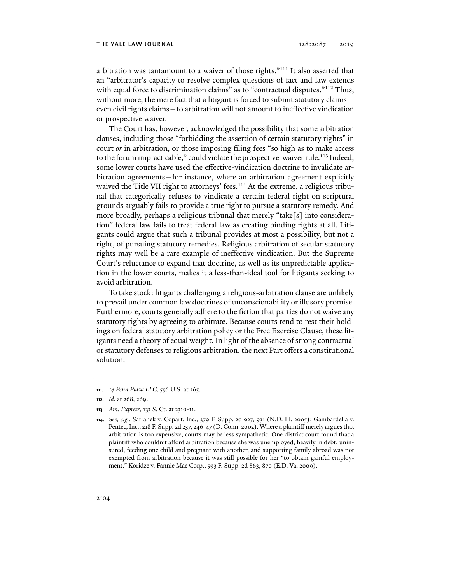arbitration was tantamount to a waiver of those rights."111 It also asserted that an "arbitrator's capacity to resolve complex questions of fact and law extends with equal force to discrimination claims" as to "contractual disputes."<sup>112</sup> Thus, without more, the mere fact that a litigant is forced to submit statutory claims even civil rights claims—to arbitration will not amount to ineffective vindication or prospective waiver.

The Court has, however, acknowledged the possibility that some arbitration clauses, including those "forbidding the assertion of certain statutory rights" in court *or* in arbitration, or those imposing filing fees "so high as to make access to the forum impracticable," could violate the prospective-waiver rule.<sup>113</sup> Indeed, some lower courts have used the effective-vindication doctrine to invalidate arbitration agreements—for instance, where an arbitration agreement explicitly waived the Title VII right to attorneys' fees.<sup>114</sup> At the extreme, a religious tribunal that categorically refuses to vindicate a certain federal right on scriptural grounds arguably fails to provide a true right to pursue a statutory remedy. And more broadly, perhaps a religious tribunal that merely "take[s] into consideration" federal law fails to treat federal law as creating binding rights at all. Litigants could argue that such a tribunal provides at most a possibility, but not a right, of pursuing statutory remedies. Religious arbitration of secular statutory rights may well be a rare example of ineffective vindication. But the Supreme Court's reluctance to expand that doctrine, as well as its unpredictable application in the lower courts, makes it a less-than-ideal tool for litigants seeking to avoid arbitration.

To take stock: litigants challenging a religious-arbitration clause are unlikely to prevail under common law doctrines of unconscionability or illusory promise. Furthermore, courts generally adhere to the fiction that parties do not waive any statutory rights by agreeing to arbitrate. Because courts tend to rest their holdings on federal statutory arbitration policy or the Free Exercise Clause, these litigants need a theory of equal weight. In light of the absence of strong contractual or statutory defenses to religious arbitration, the next Part offers a constitutional solution.

**<sup>111</sup>***. 14 Penn Plaza LLC*, 556 U.S. at 265.

**<sup>112</sup>***. Id.* at 268, 269.

**<sup>113</sup>***. Am. Express*, 133 S. Ct. at 2310-11.

**<sup>114</sup>***. See, e.g.*, Safranek v. Copart, Inc., 379 F. Supp. 2d 927, 931 (N.D. Ill. 2005); Gambardella v. Pentec, Inc., 218 F. Supp. 2d 237, 246-47 (D. Conn. 2002). Where a plaintiff merely argues that arbitration is too expensive, courts may be less sympathetic. One district court found that a plaintiff who couldn't afford arbitration because she was unemployed, heavily in debt, uninsured, feeding one child and pregnant with another, and supporting family abroad was not exempted from arbitration because it was still possible for her "to obtain gainful employment." Koridze v. Fannie Mae Corp., 593 F. Supp. 2d 863, 870 (E.D. Va. 2009).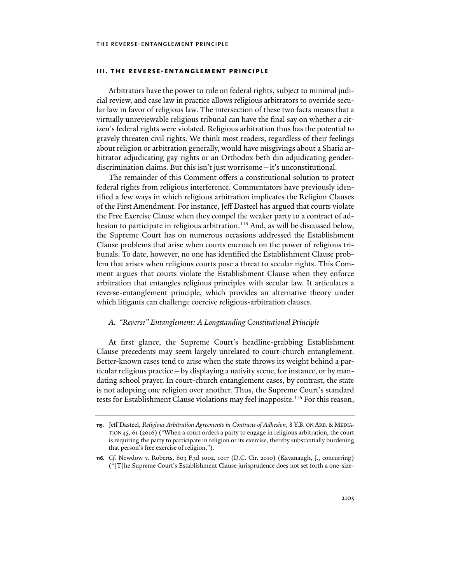Arbitrators have the power to rule on federal rights, subject to minimal judicial review, and case law in practice allows religious arbitrators to override secular law in favor of religious law. The intersection of these two facts means that a virtually unreviewable religious tribunal can have the final say on whether a citizen's federal rights were violated. Religious arbitration thus has the potential to gravely threaten civil rights. We think most readers, regardless of their feelings about religion or arbitration generally, would have misgivings about a Sharia arbitrator adjudicating gay rights or an Orthodox beth din adjudicating genderdiscrimination claims. But this isn't just worrisome—it's unconstitutional.

The remainder of this Comment offers a constitutional solution to protect federal rights from religious interference. Commentators have previously identified a few ways in which religious arbitration implicates the Religion Clauses of the First Amendment. For instance, Jeff Dasteel has argued that courts violate the Free Exercise Clause when they compel the weaker party to a contract of adhesion to participate in religious arbitration.<sup>115</sup> And, as will be discussed below, the Supreme Court has on numerous occasions addressed the Establishment Clause problems that arise when courts encroach on the power of religious tribunals. To date, however, no one has identified the Establishment Clause problem that arises when religious courts pose a threat to secular rights. This Comment argues that courts violate the Establishment Clause when they enforce arbitration that entangles religious principles with secular law. It articulates a reverse-entanglement principle, which provides an alternative theory under which litigants can challenge coercive religious-arbitration clauses.

## *A. "Reverse" Entanglement: A Longstanding Constitutional Principle*

At first glance, the Supreme Court's headline-grabbing Establishment Clause precedents may seem largely unrelated to court-church entanglement. Better-known cases tend to arise when the state throws its weight behind a particular religious practice—by displaying a nativity scene, for instance, or by mandating school prayer. In court-church entanglement cases, by contrast, the state is not adopting one religion over another. Thus, the Supreme Court's standard tests for Establishment Clause violations may feel inapposite.<sup>116</sup> For this reason,

**<sup>115</sup>**. Jeff Dasteel, *Religious Arbitration Agreements in Contracts of Adhesion*, 8 Y.B. ON ARB. & MEDIA-TION 45, 61 (2016) ("When a court orders a party to engage in religious arbitration, the court is requiring the party to participate in religion or its exercise, thereby substantially burdening that person's free exercise of religion.").

**<sup>116</sup>***. Cf.* Newdow v. Roberts, 603 F.3d 1002, 1017 (D.C. Cir. 2010) (Kavanaugh, J., concurring) ("[T]he Supreme Court's Establishment Clause jurisprudence does not set forth a one-size-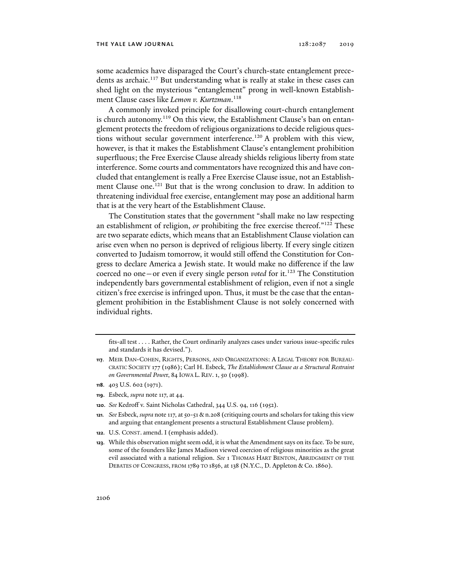some academics have disparaged the Court's church-state entanglement precedents as archaic.<sup>117</sup> But understanding what is really at stake in these cases can shed light on the mysterious "entanglement" prong in well-known Establishment Clause cases like *Lemon v. Kurtzman*. 118

A commonly invoked principle for disallowing court-church entanglement is church autonomy.<sup>119</sup> On this view, the Establishment Clause's ban on entanglement protects the freedom of religious organizations to decide religious questions without secular government interference.<sup>120</sup> A problem with this view, however, is that it makes the Establishment Clause's entanglement prohibition superfluous; the Free Exercise Clause already shields religious liberty from state interference. Some courts and commentators have recognized this and have concluded that entanglement is really a Free Exercise Clause issue, not an Establishment Clause one.<sup>121</sup> But that is the wrong conclusion to draw. In addition to threatening individual free exercise, entanglement may pose an additional harm that is at the very heart of the Establishment Clause.

The Constitution states that the government "shall make no law respecting an establishment of religion, *or* prohibiting the free exercise thereof."<sup>122</sup> These are two separate edicts, which means that an Establishment Clause violation can arise even when no person is deprived of religious liberty. If every single citizen converted to Judaism tomorrow, it would still offend the Constitution for Congress to declare America a Jewish state. It would make no difference if the law coerced no one – or even if every single person *voted* for it.<sup>123</sup> The Constitution independently bars governmental establishment of religion, even if not a single citizen's free exercise is infringed upon. Thus, it must be the case that the entanglement prohibition in the Establishment Clause is not solely concerned with individual rights.

- **118**. 403 U.S. 602 (1971).
- **119**. Esbeck, *supra* note 117, at 44.
- **120**. *See* Kedroff v. Saint Nicholas Cathedral, 344 U.S. 94, 116 (1952).
- **121***. See* Esbeck, *supra* note 117, at 50-51 & n.208 (critiquing courts and scholars for taking this view and arguing that entanglement presents a structural Establishment Clause problem).
- **122**. U.S. CONST. amend. I (emphasis added).
- **123**. While this observation might seem odd, it is what the Amendment says on its face. To be sure, some of the founders like James Madison viewed coercion of religious minorities as the great evil associated with a national religion. *See* 1 THOMAS HART BENTON, ABRIDGMENT OF THE DEBATES OF CONGRESS, FROM 1789 TO 1856, at 138 (N.Y.C., D. Appleton & Co. 1860).

fits-all test . . . . Rather, the Court ordinarily analyzes cases under various issue-specific rules and standards it has devised.").

**<sup>117</sup>**. MEIR DAN-COHEN, RIGHTS, PERSONS, AND ORGANIZATIONS: A LEGAL THEORY FOR BUREAU-CRATIC SOCIETY 177 (1986); Carl H. Esbeck, *The Establishment Clause as a Structural Restraint on Governmental Powe*r, 84 IOWA L. REV. 1, 50 (1998).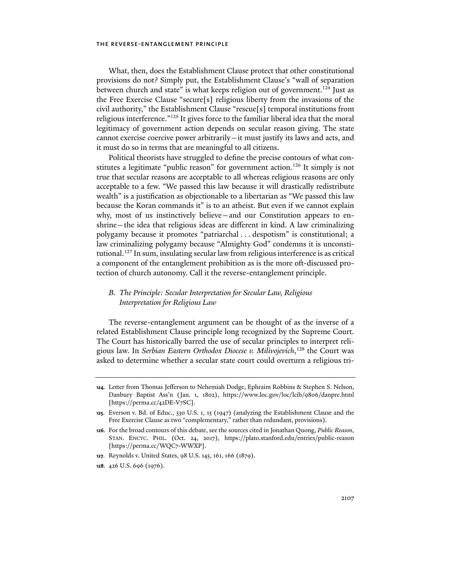What, then, does the Establishment Clause protect that other constitutional provisions do not? Simply put, the Establishment Clause's "wall of separation between church and state" is what keeps religion out of government.<sup>124</sup> Just as the Free Exercise Clause "secure[s] religious liberty from the invasions of the civil authority," the Establishment Clause "rescue[s] temporal institutions from religious interference."125 It gives force to the familiar liberal idea that the moral legitimacy of government action depends on secular reason giving. The state cannot exercise coercive power arbitrarily—it must justify its laws and acts, and it must do so in terms that are meaningful to all citizens.

Political theorists have struggled to define the precise contours of what constitutes a legitimate "public reason" for government action.<sup>126</sup> It simply is not true that secular reasons are acceptable to all whereas religious reasons are only acceptable to a few. "We passed this law because it will drastically redistribute wealth" is a justification as objectionable to a libertarian as "We passed this law because the Koran commands it" is to an atheist. But even if we cannot explain why, most of us instinctively believe—and our Constitution appears to enshrine—the idea that religious ideas are different in kind. A law criminalizing polygamy because it promotes "patriarchal . . . despotism" is constitutional; a law criminalizing polygamy because "Almighty God" condemns it is unconstitutional.127 In sum, insulating secular law from religious interference is as critical a component of the entanglement prohibition as is the more oft-discussed protection of church autonomy. Call it the reverse-entanglement principle.

## *B. The Principle: Secular Interpretation for Secular Law, Religious Interpretation for Religious Law*

The reverse-entanglement argument can be thought of as the inverse of a related Establishment Clause principle long recognized by the Supreme Court. The Court has historically barred the use of secular principles to interpret religious law. In *Serbian Eastern Orthodox Diocese v. Milivojevich*, 128 the Court was asked to determine whether a secular state court could overturn a religious tri-

- **127**. Reynolds v. United States, 98 U.S. 145, 161, 166 (1879).
- **128**. 426 U.S. 696 (1976).

**<sup>124</sup>**. Letter from Thomas Jefferson to Nehemiah Dodge, Ephraim Robbins & Stephen S. Nelson, Danbury Baptist Ass'n (Jan. 1, 1802), https://www.loc.gov/loc/lcib/9806/danpre.html [https://perma.cc/42DE-V7SC].

**<sup>125</sup>**. Everson v. Bd. of Educ., 330 U.S. 1, 15 (1947) (analyzing the Establishment Clause and the Free Exercise Clause as two "complementary," rather than redundant, provisions).

**<sup>126</sup>**. For the broad contours of this debate, see the sources cited in Jonathan Quong, *Public Reason*, STAN. ENCYC. PHIL. (Oct. 24, 2017), https://plato.stanford.edu/entries/public-reason [https://perma.cc/WQC7-WWXP].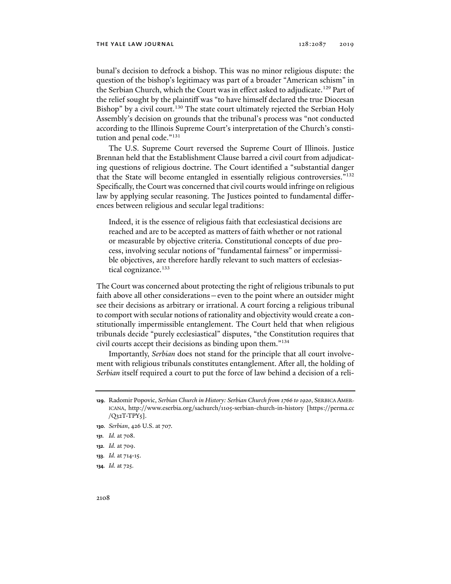bunal's decision to defrock a bishop. This was no minor religious dispute: the question of the bishop's legitimacy was part of a broader "American schism" in the Serbian Church, which the Court was in effect asked to adjudicate.<sup>129</sup> Part of the relief sought by the plaintiff was "to have himself declared the true Diocesan Bishop" by a civil court.<sup>130</sup> The state court ultimately rejected the Serbian Holy Assembly's decision on grounds that the tribunal's process was "not conducted according to the Illinois Supreme Court's interpretation of the Church's constitution and penal code."<sup>131</sup>

The U.S. Supreme Court reversed the Supreme Court of Illinois. Justice Brennan held that the Establishment Clause barred a civil court from adjudicating questions of religious doctrine. The Court identified a "substantial danger that the State will become entangled in essentially religious controversies."132 Specifically, the Court was concerned that civil courts would infringe on religious law by applying secular reasoning. The Justices pointed to fundamental differences between religious and secular legal traditions:

Indeed, it is the essence of religious faith that ecclesiastical decisions are reached and are to be accepted as matters of faith whether or not rational or measurable by objective criteria. Constitutional concepts of due process, involving secular notions of "fundamental fairness" or impermissible objectives, are therefore hardly relevant to such matters of ecclesiastical cognizance.<sup>133</sup>

The Court was concerned about protecting the right of religious tribunals to put faith above all other considerations—even to the point where an outsider might see their decisions as arbitrary or irrational. A court forcing a religious tribunal to comport with secular notions of rationality and objectivity would create a constitutionally impermissible entanglement. The Court held that when religious tribunals decide "purely ecclesiastical" disputes, "the Constitution requires that civil courts accept their decisions as binding upon them."134

Importantly, *Serbian* does not stand for the principle that all court involvement with religious tribunals constitutes entanglement. After all, the holding of *Serbian* itself required a court to put the force of law behind a decision of a reli-

- **133***. Id.* at 714-15.
- **134***. Id.* at 725.

**<sup>129</sup>**. Radomir Popovic, *Serbian Church in History: Serbian Church from 1766 to 1920*, SERBICA AMER-ICANA, http://www.eserbia.org/sachurch/1105-serbian-church-in-history [https://perma.cc  $/Q<sub>32</sub>TT-TPY<sub>5</sub>$ ].

**<sup>130</sup>***. Serbian*, 426 U.S. at 707.

**<sup>131</sup>***. Id.* at 708.

**<sup>132</sup>***. Id.* at 709.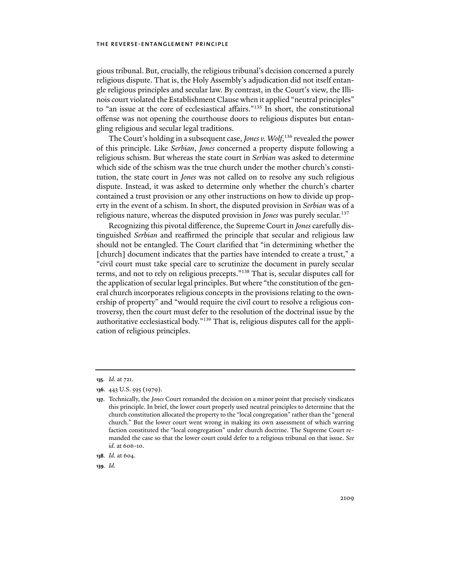gious tribunal. But, crucially, the religious tribunal's decision concerned a purely religious dispute. That is, the Holy Assembly's adjudication did not itself entangle religious principles and secular law. By contrast, in the Court's view, the Illinois court violated the Establishment Clause when it applied "neutral principles" to "an issue at the core of ecclesiastical affairs."135 In short, the constitutional offense was not opening the courthouse doors to religious disputes but entangling religious and secular legal traditions.

The Court's holding in a subsequent case, *Jones v. Wolf*, 136 revealed the power of this principle. Like *Serbian*, *Jones* concerned a property dispute following a religious schism. But whereas the state court in *Serbian* was asked to determine which side of the schism was the true church under the mother church's constitution, the state court in *Jones* was not called on to resolve any such religious dispute. Instead, it was asked to determine only whether the church's charter contained a trust provision or any other instructions on how to divide up property in the event of a schism. In short, the disputed provision in *Serbian* was of a religious nature, whereas the disputed provision in *Jones* was purely secular.137

Recognizing this pivotal difference, the Supreme Court in *Jones* carefully distinguished *Serbian* and reaffirmed the principle that secular and religious law should not be entangled. The Court clarified that "in determining whether the [church] document indicates that the parties have intended to create a trust," a "civil court must take special care to scrutinize the document in purely secular terms, and not to rely on religious precepts."138 That is, secular disputes call for the application of secular legal principles. But where "the constitution of the general church incorporates religious concepts in the provisions relating to the ownership of property" and "would require the civil court to resolve a religious controversy, then the court must defer to the resolution of the doctrinal issue by the authoritative ecclesiastical body."139 That is, religious disputes call for the application of religious principles.

**139***. Id.*

**<sup>135</sup>***. Id.* at 721.

**<sup>136</sup>**. 443 U.S. 595 (1979).

**<sup>137</sup>**. Technically, the *Jones* Court remanded the decision on a minor point that precisely vindicates this principle. In brief, the lower court properly used neutral principles to determine that the church constitution allocated the property to the "local congregation" rather than the "general church." But the lower court went wrong in making its own assessment of which warring faction constituted the "local congregation" under church doctrine. The Supreme Court remanded the case so that the lower court could defer to a religious tribunal on that issue. *See id.* at 606-10.

**<sup>138</sup>***. Id.* at 604.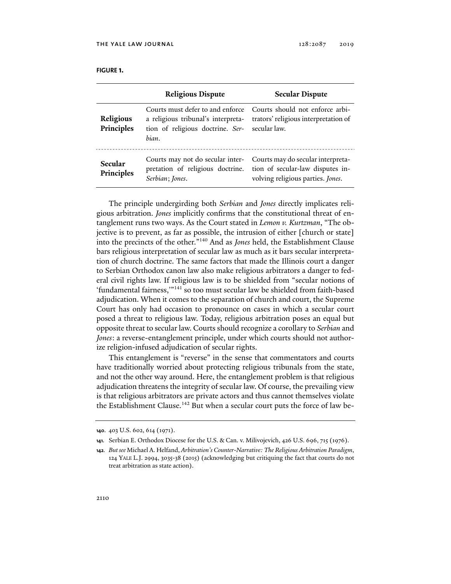|                         | <b>Religious Dispute</b>                                                                                                         | <b>Secular Dispute</b>                                                                                                                                                       |
|-------------------------|----------------------------------------------------------------------------------------------------------------------------------|------------------------------------------------------------------------------------------------------------------------------------------------------------------------------|
| Religious<br>Principles | Courts must defer to and enforce<br>a religious tribunal's interpreta-<br>tion of religious doctrine. Ser- secular law.<br>bian. | Courts should not enforce arbi-<br>trators' religious interpretation of                                                                                                      |
| Secular<br>Principles   | Serbian; Jones.                                                                                                                  | Courts may not do secular inter- Courts may do secular interpreta-<br>pretation of religious doctrine. tion of secular-law disputes in-<br>volving religious parties. Jones. |

The principle undergirding both *Serbian* and *Jones* directly implicates religious arbitration. *Jones* implicitly confirms that the constitutional threat of entanglement runs two ways. As the Court stated in *Lemon v. Kurtzman*, "The objective is to prevent, as far as possible, the intrusion of either [church or state] into the precincts of the other."140 And as *Jones* held, the Establishment Clause bars religious interpretation of secular law as much as it bars secular interpretation of church doctrine. The same factors that made the Illinois court a danger to Serbian Orthodox canon law also make religious arbitrators a danger to federal civil rights law. If religious law is to be shielded from "secular notions of 'fundamental fairness,"<sup>141</sup> so too must secular law be shielded from faith-based adjudication. When it comes to the separation of church and court, the Supreme Court has only had occasion to pronounce on cases in which a secular court posed a threat to religious law. Today, religious arbitration poses an equal but opposite threat to secular law. Courts should recognize a corollary to *Serbian* and *Jones*: a reverse-entanglement principle, under which courts should not authorize religion-infused adjudication of secular rights.

This entanglement is "reverse" in the sense that commentators and courts have traditionally worried about protecting religious tribunals from the state, and not the other way around. Here, the entanglement problem is that religious adjudication threatens the integrity of secular law. Of course, the prevailing view is that religious arbitrators are private actors and thus cannot themselves violate the Establishment Clause.<sup>142</sup> But when a secular court puts the force of law be-

**<sup>140</sup>**. 403 U.S. 602, 614 (1971).

**<sup>141</sup>***.* Serbian E. Orthodox Diocese for the U.S. & Can. v. Milivojevich, 426 U.S. 696, 715 (1976).

**<sup>142</sup>***. But see* Michael A. Helfand, *Arbitration's Counter-Narrative: The Religious Arbitration Paradigm*, 124 YALE L.J. 2994, 3035-38 (2015) (acknowledging but critiquing the fact that courts do not treat arbitration as state action).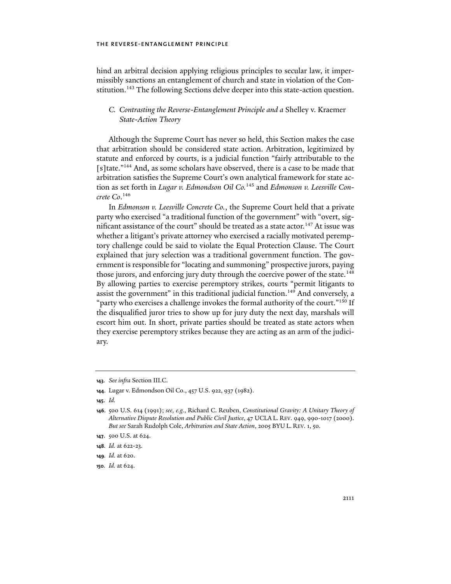hind an arbitral decision applying religious principles to secular law, it impermissibly sanctions an entanglement of church and state in violation of the Constitution.<sup>143</sup> The following Sections delve deeper into this state-action question.

# *C. Contrasting the Reverse-Entanglement Principle and a* Shelley v. Kraemer *State-Action Theory*

Although the Supreme Court has never so held, this Section makes the case that arbitration should be considered state action. Arbitration, legitimized by statute and enforced by courts, is a judicial function "fairly attributable to the [s]tate."144 And, as some scholars have observed, there is a case to be made that arbitration satisfies the Supreme Court's own analytical framework for state action as set forth in *Lugar v. Edmondson Oil Co.*145 and *Edmonson v. Leesville Concrete Co*. 146

In *Edmonson v. Leesville Concrete Co.*, the Supreme Court held that a private party who exercised "a traditional function of the government" with "overt, significant assistance of the court" should be treated as a state actor.<sup>147</sup> At issue was whether a litigant's private attorney who exercised a racially motivated peremptory challenge could be said to violate the Equal Protection Clause. The Court explained that jury selection was a traditional government function. The government is responsible for "locating and summoning" prospective jurors, paying those jurors, and enforcing jury duty through the coercive power of the state.<sup>148</sup> By allowing parties to exercise peremptory strikes, courts "permit litigants to assist the government" in this traditional judicial function.<sup>149</sup> And conversely, a "party who exercises a challenge invokes the formal authority of the court."<sup>150</sup> If the disqualified juror tries to show up for jury duty the next day, marshals will escort him out. In short, private parties should be treated as state actors when they exercise peremptory strikes because they are acting as an arm of the judiciary.

**<sup>143</sup>***. See infra* Section III.C.

**<sup>144</sup>**. Lugar v. Edmondson Oil Co., 457 U.S. 922, 937 (1982).

**<sup>145</sup>**. *Id.* 

**<sup>146</sup>**. 500 U.S. 614 (1991); *see, e.g.*, Richard C. Reuben, *Constitutional Gravity: A Unitary Theory of Alternative Dispute Resolution and Public Civil Justice*, 47 UCLA L. REV. 949, 990-1017 (2000). *But see* Sarah Rudolph Cole, *Arbitration and State Action*, 2005 BYU L. REV. 1, 50.

**<sup>147</sup>**. 500 U.S. at 624.

**<sup>148</sup>***. Id.* at 622-23.

**<sup>149</sup>***. Id.* at 620.

**<sup>150</sup>***. Id.* at 624.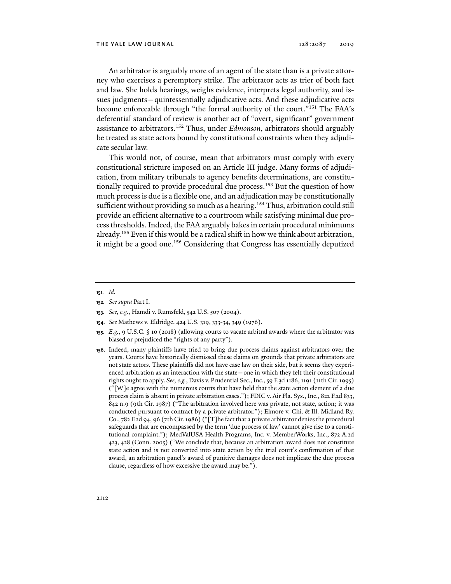An arbitrator is arguably more of an agent of the state than is a private attorney who exercises a peremptory strike. The arbitrator acts as trier of both fact and law. She holds hearings, weighs evidence, interprets legal authority, and issues judgments—quintessentially adjudicative acts. And these adjudicative acts become enforceable through "the formal authority of the court."<sup>151</sup> The FAA's deferential standard of review is another act of "overt, significant" government assistance to arbitrators.152 Thus, under *Edmonson*, arbitrators should arguably be treated as state actors bound by constitutional constraints when they adjudicate secular law.

This would not, of course, mean that arbitrators must comply with every constitutional stricture imposed on an Article III judge. Many forms of adjudication, from military tribunals to agency benefits determinations, are constitutionally required to provide procedural due process.<sup>153</sup> But the question of how much process is due is a flexible one, and an adjudication may be constitutionally sufficient without providing so much as a hearing.<sup>154</sup> Thus, arbitration could still provide an efficient alternative to a courtroom while satisfying minimal due process thresholds. Indeed, the FAA arguably bakes in certain procedural minimums already.155 Even if this would be a radical shift in how we think about arbitration, it might be a good one.<sup>156</sup> Considering that Congress has essentially deputized

- **154***. See* Mathews v. Eldridge, 424 U.S. 319, 333-34, 349 (1976).
- **155***. E.g.*, 9 U.S.C. § 10 (2018) (allowing courts to vacate arbitral awards where the arbitrator was biased or prejudiced the "rights of any party").
- **156**. Indeed, many plaintiffs have tried to bring due process claims against arbitrators over the years. Courts have historically dismissed these claims on grounds that private arbitrators are not state actors. These plaintiffs did not have case law on their side, but it seems they experienced arbitration as an interaction with the state—one in which they felt their constitutional rights ought to apply. *See, e.g.*, Davis v. Prudential Sec., Inc., 59 F.3d 1186, 1191 (11th Cir. 1995) ("[W]e agree with the numerous courts that have held that the state action element of a due process claim is absent in private arbitration cases."); FDIC v. Air Fla. Sys., Inc., 822 F.2d 833, 842 n.9 (9th Cir. 1987) ("The arbitration involved here was private, not state, action; it was conducted pursuant to contract by a private arbitrator."); Elmore v. Chi. & Ill. Midland Ry. Co., 782 F.2d 94, 96 (7th Cir. 1986) ("[T]he fact that a private arbitrator denies the procedural safeguards that are encompassed by the term 'due process of law' cannot give rise to a constitutional complaint."); MedValUSA Health Programs, Inc. v. MemberWorks, Inc., 872 A.2d 423, 428 (Conn. 2005) ("We conclude that, because an arbitration award does not constitute state action and is not converted into state action by the trial court's confirmation of that award, an arbitration panel's award of punitive damages does not implicate the due process clause, regardless of how excessive the award may be.").

**<sup>151</sup>***. Id.*

**<sup>152</sup>***. See supra* Part I.

**<sup>153</sup>***. See, e.g.*, Hamdi v. Rumsfeld, 542 U.S. 507 (2004).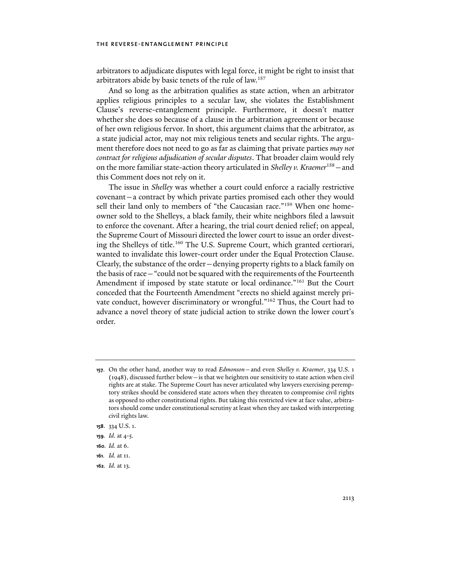arbitrators to adjudicate disputes with legal force, it might be right to insist that arbitrators abide by basic tenets of the rule of law.157

And so long as the arbitration qualifies as state action, when an arbitrator applies religious principles to a secular law, she violates the Establishment Clause's reverse-entanglement principle. Furthermore, it doesn't matter whether she does so because of a clause in the arbitration agreement or because of her own religious fervor. In short, this argument claims that the arbitrator, as a state judicial actor, may not mix religious tenets and secular rights. The argument therefore does not need to go as far as claiming that private parties *may not contract for religious adjudication of secular disputes*. That broader claim would rely on the more familiar state-action theory articulated in *Shelley v. Kraemer*158—and this Comment does not rely on it.

The issue in *Shelley* was whether a court could enforce a racially restrictive covenant—a contract by which private parties promised each other they would sell their land only to members of "the Caucasian race."<sup>159</sup> When one homeowner sold to the Shelleys, a black family, their white neighbors filed a lawsuit to enforce the covenant. After a hearing, the trial court denied relief; on appeal, the Supreme Court of Missouri directed the lower court to issue an order divesting the Shelleys of title.160 The U.S. Supreme Court, which granted certiorari, wanted to invalidate this lower-court order under the Equal Protection Clause. Clearly, the substance of the order—denying property rights to a black family on the basis of race—"could not be squared with the requirements of the Fourteenth Amendment if imposed by state statute or local ordinance."<sup>161</sup> But the Court conceded that the Fourteenth Amendment "erects no shield against merely private conduct, however discriminatory or wrongful."162 Thus, the Court had to advance a novel theory of state judicial action to strike down the lower court's order.

**<sup>157</sup>**. On the other hand, another way to read *Edmonson*—and even *Shelley v. Kraemer*, 334 U.S. 1 (1948), discussed further below—is that we heighten our sensitivity to state action when civil rights are at stake. The Supreme Court has never articulated why lawyers exercising peremptory strikes should be considered state actors when they threaten to compromise civil rights as opposed to other constitutional rights. But taking this restricted view at face value, arbitrators should come under constitutional scrutiny at least when they are tasked with interpreting civil rights law.

**<sup>158</sup>**. 334 U.S. 1.

**<sup>159</sup>***. Id.* at 4-5.

**<sup>160</sup>***. Id.* at 6.

**<sup>161</sup>***. Id.* at 11.

**<sup>162</sup>***. Id.* at 13.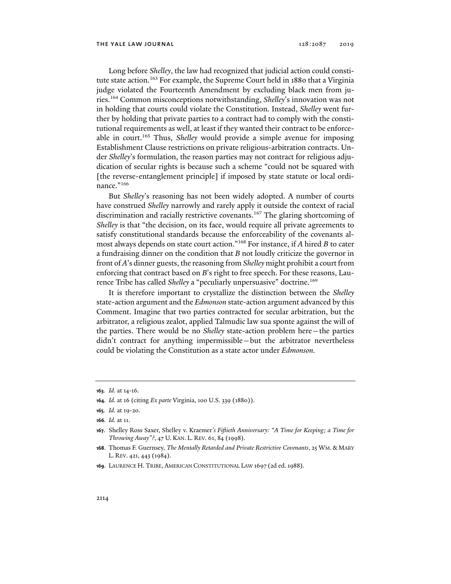Long before *Shelley*, the law had recognized that judicial action could constitute state action.<sup>163</sup> For example, the Supreme Court held in 1880 that a Virginia judge violated the Fourteenth Amendment by excluding black men from juries.164 Common misconceptions notwithstanding, *Shelley*'s innovation was not in holding that courts could violate the Constitution. Instead, *Shelley* went further by holding that private parties to a contract had to comply with the constitutional requirements as well, at least if they wanted their contract to be enforceable in court.165 Thus, *Shelley* would provide a simple avenue for imposing Establishment Clause restrictions on private religious-arbitration contracts. Under *Shelley*'s formulation, the reason parties may not contract for religious adjudication of secular rights is because such a scheme "could not be squared with [the reverse-entanglement principle] if imposed by state statute or local ordinance."<sup>166</sup>

But *Shelley*'s reasoning has not been widely adopted. A number of courts have construed *Shelley* narrowly and rarely apply it outside the context of racial discrimination and racially restrictive covenants.<sup>167</sup> The glaring shortcoming of *Shelley* is that "the decision, on its face, would require all private agreements to satisfy constitutional standards because the enforceability of the covenants almost always depends on state court action."168 For instance, if *A* hired *B* to cater a fundraising dinner on the condition that *B* not loudly criticize the governor in front of *A*'s dinner guests, the reasoning from *Shelley* might prohibit a court from enforcing that contract based on *B*'s right to free speech. For these reasons, Laurence Tribe has called *Shelley* a "peculiarly unpersuasive" doctrine.169

It is therefore important to crystallize the distinction between the *Shelley* state-action argument and the *Edmonson* state-action argument advanced by this Comment. Imagine that two parties contracted for secular arbitration, but the arbitrator, a religious zealot, applied Talmudic law sua sponte against the will of the parties. There would be no *Shelley* state-action problem here—the parties didn't contract for anything impermissible*—*but the arbitrator nevertheless could be violating the Constitution as a state actor under *Edmonson.*

**<sup>163</sup>***. Id.* at 14-16.

**<sup>164</sup>***. Id.* at 16 (citing *Ex parte* Virginia, 100 U.S. 339 (1880)).

**<sup>165</sup>***. Id.* at 19-20.

**<sup>166</sup>***. Id.* at 11.

**<sup>167</sup>**. Shelley Ross Saxer, Shelley v. Kraemer*'s Fiftieth Anniversary: "A Time for Keeping; a Time for Throwing Away"?*, 47 U. KAN. L. REV. 61, 84 (1998).

**<sup>168</sup>**. Thomas F. Guernsey, *The Mentally Retarded and Private Restrictive Covenants*, 25 WM. & MARY L. REV. 421, 443 (1984).

**<sup>169</sup>**. LAURENCE H. TRIBE, AMERICAN CONSTITUTIONAL LAW 1697 (2d ed.1988).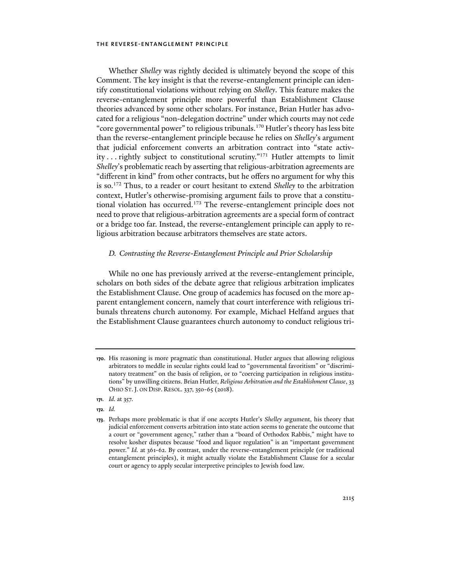Whether *Shelley* was rightly decided is ultimately beyond the scope of this Comment. The key insight is that the reverse-entanglement principle can identify constitutional violations without relying on *Shelley*. This feature makes the reverse-entanglement principle more powerful than Establishment Clause theories advanced by some other scholars. For instance, Brian Hutler has advocated for a religious "non-delegation doctrine" under which courts may not cede "core governmental power" to religious tribunals.170 Hutler's theory has less bite than the reverse-entanglement principle because he relies on *Shelley*'s argument that judicial enforcement converts an arbitration contract into "state activity . . . rightly subject to constitutional scrutiny."171 Hutler attempts to limit *Shelley*'s problematic reach by asserting that religious-arbitration agreements are "different in kind" from other contracts, but he offers no argument for why this is so.172 Thus, to a reader or court hesitant to extend *Shelley* to the arbitration context, Hutler's otherwise-promising argument fails to prove that a constitutional violation has occurred.<sup>173</sup> The reverse-entanglement principle does not need to prove that religious-arbitration agreements are a special form of contract or a bridge too far. Instead, the reverse-entanglement principle can apply to religious arbitration because arbitrators themselves are state actors.

## *D. Contrasting the Reverse-Entanglement Principle and Prior Scholarship*

While no one has previously arrived at the reverse-entanglement principle, scholars on both sides of the debate agree that religious arbitration implicates the Establishment Clause. One group of academics has focused on the more apparent entanglement concern, namely that court interference with religious tribunals threatens church autonomy. For example, Michael Helfand argues that the Establishment Clause guarantees church autonomy to conduct religious tri-

**<sup>170</sup>**. His reasoning is more pragmatic than constitutional. Hutler argues that allowing religious arbitrators to meddle in secular rights could lead to "governmental favoritism" or "discriminatory treatment" on the basis of religion, or to "coercing participation in religious institutions" by unwilling citizens. Brian Hutler, *Religious Arbitration and the Establishment Clause*, 33 OHIO ST.J. ON DISP. RESOL. 337, 350-65 (2018).

**<sup>171</sup>***. Id.* at 357.

**<sup>172</sup>***. Id.*

**<sup>173</sup>**. Perhaps more problematic is that if one accepts Hutler's *Shelley* argument, his theory that judicial enforcement converts arbitration into state action seems to generate the outcome that a court or "government agency," rather than a "board of Orthodox Rabbis," might have to resolve kosher disputes because "food and liquor regulation" is an "important government power." *Id.* at 361-62. By contrast, under the reverse-entanglement principle (or traditional entanglement principles), it might actually violate the Establishment Clause for a secular court or agency to apply secular interpretive principles to Jewish food law.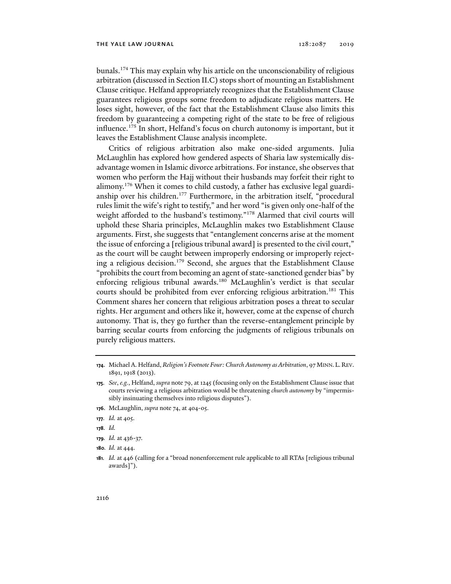bunals.174 This may explain why his article on the unconscionability of religious arbitration (discussed in Section II.C) stops short of mounting an Establishment Clause critique. Helfand appropriately recognizes that the Establishment Clause guarantees religious groups some freedom to adjudicate religious matters. He loses sight, however, of the fact that the Establishment Clause also limits this freedom by guaranteeing a competing right of the state to be free of religious influence.<sup>175</sup> In short, Helfand's focus on church autonomy is important, but it leaves the Establishment Clause analysis incomplete.

Critics of religious arbitration also make one-sided arguments. Julia McLaughlin has explored how gendered aspects of Sharia law systemically disadvantage women in Islamic divorce arbitrations. For instance, she observes that women who perform the Hajj without their husbands may forfeit their right to alimony.176 When it comes to child custody, a father has exclusive legal guardianship over his children.<sup>177</sup> Furthermore, in the arbitration itself, "procedural rules limit the wife's right to testify," and her word "is given only one-half of the weight afforded to the husband's testimony."178 Alarmed that civil courts will uphold these Sharia principles, McLaughlin makes two Establishment Clause arguments. First, she suggests that "entanglement concerns arise at the moment the issue of enforcing a [religious tribunal award] is presented to the civil court," as the court will be caught between improperly endorsing or improperly rejecting a religious decision.<sup>179</sup> Second, she argues that the Establishment Clause "prohibits the court from becoming an agent of state-sanctioned gender bias" by enforcing religious tribunal awards.<sup>180</sup> McLaughlin's verdict is that secular courts should be prohibited from ever enforcing religious arbitration.<sup>181</sup> This Comment shares her concern that religious arbitration poses a threat to secular rights. Her argument and others like it, however, come at the expense of church autonomy. That is, they go further than the reverse-entanglement principle by barring secular courts from enforcing the judgments of religious tribunals on purely religious matters.

- **176**. McLaughlin, *supra* note 74, at 404-05.
- **177***. Id.* at 405.
- **178***. Id.*
- **179***. Id.* at 436-37.
- **180***. Id.* at 444.

**<sup>174</sup>**. Michael A. Helfand, *Religion's Footnote Four: Church Autonomy as Arbitration*, 97 MINN.L.REV. 1891, 1918 (2013).

**<sup>175</sup>***. See*, *e.g.*, Helfand, *supra* note 79, at 1245 (focusing only on the Establishment Clause issue that courts reviewing a religious arbitration would be threatening *church autonomy* by "impermissibly insinuating themselves into religious disputes").

**<sup>181</sup>***. Id.* at 446 (calling for a "broad nonenforcement rule applicable to all RTAs [religious tribunal awards]").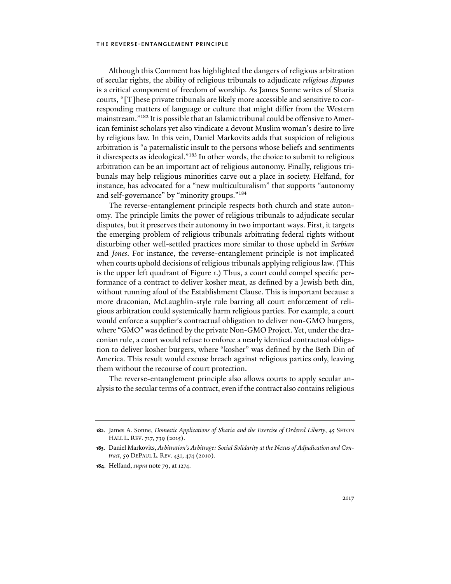Although this Comment has highlighted the dangers of religious arbitration of secular rights, the ability of religious tribunals to adjudicate *religious disputes* is a critical component of freedom of worship. As James Sonne writes of Sharia courts, "[T]hese private tribunals are likely more accessible and sensitive to corresponding matters of language or culture that might differ from the Western mainstream."182 It is possible that an Islamic tribunal could be offensive to American feminist scholars yet also vindicate a devout Muslim woman's desire to live by religious law. In this vein, Daniel Markovits adds that suspicion of religious arbitration is "a paternalistic insult to the persons whose beliefs and sentiments it disrespects as ideological."183 In other words, the choice to submit to religious arbitration can be an important act of religious autonomy. Finally, religious tribunals may help religious minorities carve out a place in society. Helfand, for instance, has advocated for a "new multiculturalism" that supports "autonomy and self-governance" by "minority groups."184

The reverse-entanglement principle respects both church and state autonomy. The principle limits the power of religious tribunals to adjudicate secular disputes, but it preserves their autonomy in two important ways. First, it targets the emerging problem of religious tribunals arbitrating federal rights without disturbing other well-settled practices more similar to those upheld in *Serbian*  and *Jones*. For instance, the reverse-entanglement principle is not implicated when courts uphold decisions of religious tribunals applying religious law. (This is the upper left quadrant of Figure 1.) Thus, a court could compel specific performance of a contract to deliver kosher meat, as defined by a Jewish beth din, without running afoul of the Establishment Clause. This is important because a more draconian, McLaughlin-style rule barring all court enforcement of religious arbitration could systemically harm religious parties. For example, a court would enforce a supplier's contractual obligation to deliver non-GMO burgers, where "GMO" was defined by the private Non-GMO Project. Yet, under the draconian rule, a court would refuse to enforce a nearly identical contractual obligation to deliver kosher burgers, where "kosher" was defined by the Beth Din of America. This result would excuse breach against religious parties only, leaving them without the recourse of court protection.

The reverse-entanglement principle also allows courts to apply secular analysis to the secular terms of a contract, even if the contract also contains religious

**<sup>182</sup>**. James A. Sonne, *Domestic Applications of Sharia and the Exercise of Ordered Liberty*, 45 SETON HALL L. REV. 717, 739 (2015).

**<sup>183</sup>**. Daniel Markovits, *Arbitration's Arbitrage: Social Solidarity at the Nexus of Adjudication and Contract*, 59 DEPAUL L. REV. 431, 474 (2010).

**<sup>184</sup>**. Helfand, *supra* note 79, at 1274.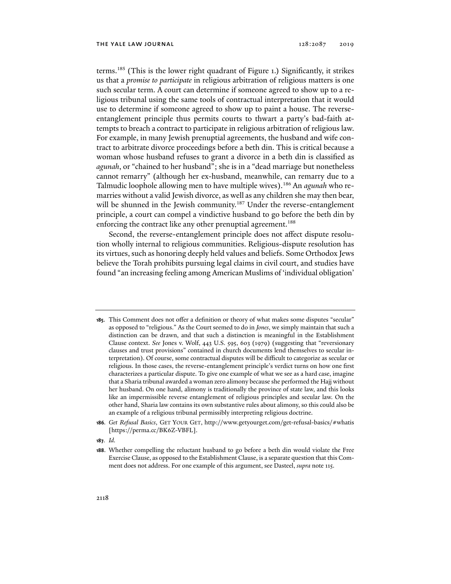terms.185 (This is the lower right quadrant of Figure 1.) Significantly, it strikes us that a *promise to participate* in religious arbitration of religious matters is one such secular term. A court can determine if someone agreed to show up to a religious tribunal using the same tools of contractual interpretation that it would use to determine if someone agreed to show up to paint a house. The reverseentanglement principle thus permits courts to thwart a party's bad-faith attempts to breach a contract to participate in religious arbitration of religious law. For example, in many Jewish prenuptial agreements, the husband and wife contract to arbitrate divorce proceedings before a beth din. This is critical because a woman whose husband refuses to grant a divorce in a beth din is classified as *agunah*, or "chained to her husband"; she is in a "dead marriage but nonetheless cannot remarry" (although her ex-husband, meanwhile, can remarry due to a Talmudic loophole allowing men to have multiple wives).186 An *agunah* who remarries without a valid Jewish divorce, as well as any children she may then bear, will be shunned in the Jewish community.<sup>187</sup> Under the reverse-entanglement principle, a court can compel a vindictive husband to go before the beth din by enforcing the contract like any other prenuptial agreement.<sup>188</sup>

Second, the reverse-entanglement principle does not affect dispute resolution wholly internal to religious communities. Religious-dispute resolution has its virtues, such as honoring deeply held values and beliefs. Some Orthodox Jews believe the Torah prohibits pursuing legal claims in civil court, and studies have found "an increasing feeling among American Muslims of 'individual obligation'

- **185**. This Comment does not offer a definition or theory of what makes some disputes "secular" as opposed to "religious." As the Court seemed to do in *Jones*, we simply maintain that such a distinction can be drawn, and that such a distinction is meaningful in the Establishment Clause context. *See* Jones v. Wolf, 443 U.S. 595, 603 (1979) (suggesting that "reversionary clauses and trust provisions" contained in church documents lend themselves to secular interpretation). Of course, some contractual disputes will be difficult to categorize as secular or religious. In those cases, the reverse-entanglement principle's verdict turns on how one first characterizes a particular dispute. To give one example of what we see as a hard case, imagine that a Sharia tribunal awarded a woman zero alimony because she performed the Hajj without her husband. On one hand, alimony is traditionally the province of state law, and this looks like an impermissible reverse entanglement of religious principles and secular law. On the other hand, Sharia law contains its own substantive rules about alimony, so this could also be an example of a religious tribunal permissibly interpreting religious doctrine.
- **186***. Get Refusal Basics*, GET YOUR GET, http://www.getyourget.com/get-refusal-basics/#whatis [https://perma.cc/BK6Z-VBFL].
- **187***. Id.*

**<sup>188</sup>**. Whether compelling the reluctant husband to go before a beth din would violate the Free Exercise Clause, as opposed to the Establishment Clause, is a separate question that this Comment does not address. For one example of this argument, see Dasteel, *supra* note 115.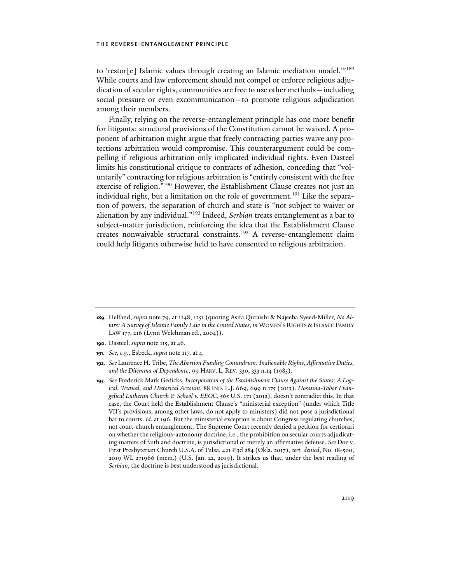to 'restor[e] Islamic values through creating an Islamic mediation model.'"189 While courts and law enforcement should not compel or enforce religious adjudication of secular rights, communities are free to use other methods—including social pressure or even excommunication—to promote religious adjudication among their members.

Finally, relying on the reverse-entanglement principle has one more benefit for litigants: structural provisions of the Constitution cannot be waived. A proponent of arbitration might argue that freely contracting parties waive any protections arbitration would compromise. This counterargument could be compelling if religious arbitration only implicated individual rights. Even Dasteel limits his constitutional critique to contracts of adhesion, conceding that "voluntarily" contracting for religious arbitration is "entirely consistent with the free exercise of religion."<sup>190</sup> However, the Establishment Clause creates not just an individual right, but a limitation on the role of government.<sup>191</sup> Like the separation of powers, the separation of church and state is "not subject to waiver or alienation by any individual."192 Indeed, *Serbian* treats entanglement as a bar to subject-matter jurisdiction, reinforcing the idea that the Establishment Clause creates nonwaivable structural constraints.<sup>193</sup> A reverse-entanglement claim could help litigants otherwise held to have consented to religious arbitration.

- **190**. Dasteel, *supra* note 115, at 46.
- **191***. See, e.g.*, Esbeck, *supra* note 117, at 4.
- **192***. See* Laurence H. Tribe, *The Abortion Funding Conundrum: Inalienable Rights, Affirmative Duties, and the Dilemma of Dependence*, 99 HARV. L. REV. 330, 333 n.14 (1985).
- **193***. See* Frederick Mark Gedicks, *Incorporation of the Establishment Clause Against the States: A Logical, Textual, and Historical Account*, 88 IND. L.J. 669, 699 n.175 (2013). *Hosanna-Tabor Evangelical Lutheran Church & School v. EEOC*, 565 U.S. 171 (2012), doesn't contradict this. In that case, the Court held the Establishment Clause's "ministerial exception" (under which Title VII's provisions, among other laws, do not apply to ministers) did not pose a jurisdictional bar to courts. *Id*. at 196. But the ministerial exception is about Congress regulating churches, not court-church entanglement. The Supreme Court recently denied a petition for certiorari on whether the religious-autonomy doctrine, i.e., the prohibition on secular courts adjudicating matters of faith and doctrine, is jurisdictional or merely an affirmative defense. *See* Doe v. First Presbyterian Church U.S.A. of Tulsa, 421 P.3d 284 (Okla. 2017), *cert. denied*, No. 18-500, 2019 WL 271966 (mem.) (U.S. Jan. 22, 2019). It strikes us that, under the best reading of *Serbian*, the doctrine is best understood as jurisdictional.

**<sup>189</sup>**. Helfand, *supra* note 79, at 1248, 1251 (quoting Asifa Quraishi & Najeeba Syeed-Miller, *No Altars: A Survey of Islamic Family Law in the United States*, *in* WOMEN'S RIGHTS &ISLAMIC FAMILY LAW 177, 216 (Lynn Welchman ed., 2004)).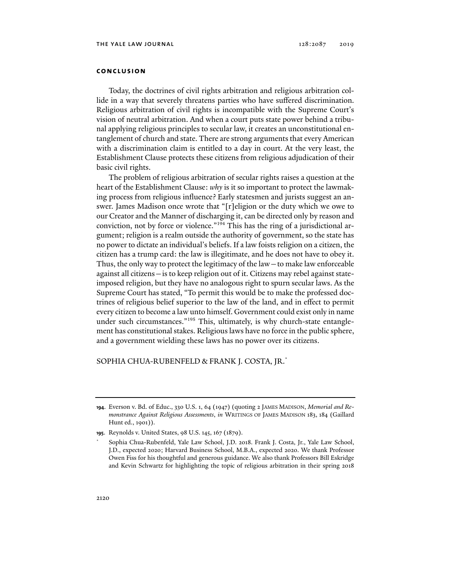## **conclusion**

Today, the doctrines of civil rights arbitration and religious arbitration collide in a way that severely threatens parties who have suffered discrimination. Religious arbitration of civil rights is incompatible with the Supreme Court's vision of neutral arbitration. And when a court puts state power behind a tribunal applying religious principles to secular law, it creates an unconstitutional entanglement of church and state. There are strong arguments that every American with a discrimination claim is entitled to a day in court. At the very least, the Establishment Clause protects these citizens from religious adjudication of their basic civil rights.

The problem of religious arbitration of secular rights raises a question at the heart of the Establishment Clause: *why* is it so important to protect the lawmaking process from religious influence? Early statesmen and jurists suggest an answer. James Madison once wrote that "[r]eligion or the duty which we owe to our Creator and the Manner of discharging it, can be directed only by reason and conviction, not by force or violence."194 This has the ring of a jurisdictional argument; religion is a realm outside the authority of government, so the state has no power to dictate an individual's beliefs. If a law foists religion on a citizen, the citizen has a trump card: the law is illegitimate, and he does not have to obey it. Thus, the only way to protect the legitimacy of the law—to make law enforceable against all citizens—is to keep religion out of it. Citizens may rebel against stateimposed religion, but they have no analogous right to spurn secular laws. As the Supreme Court has stated, "To permit this would be to make the professed doctrines of religious belief superior to the law of the land, and in effect to permit every citizen to become a law unto himself. Government could exist only in name under such circumstances."<sup>195</sup> This, ultimately, is why church-state entanglement has constitutional stakes. Religious laws have no force in the public sphere, and a government wielding these laws has no power over its citizens.

## SOPHIA CHUA-RUBENFELD & FRANK J. COSTA, JR.\*

\*

**<sup>194</sup>**. Everson v. Bd. of Educ., 330 U.S. 1, 64 (1947) (quoting 2 JAMES MADISON, *Memorial and Remonstrance Against Religious Assessments*, *in* WRITINGS OF JAMES MADISON 183, 184 (Gaillard Hunt ed., 1901)).

**<sup>195</sup>**. Reynolds v. United States, 98 U.S. 145, 167 (1879).

Sophia Chua-Rubenfeld, Yale Law School, J.D. 2018. Frank J. Costa, Jr., Yale Law School, J.D., expected 2020; Harvard Business School, M.B.A., expected 2020. We thank Professor Owen Fiss for his thoughtful and generous guidance. We also thank Professors Bill Eskridge and Kevin Schwartz for highlighting the topic of religious arbitration in their spring 2018